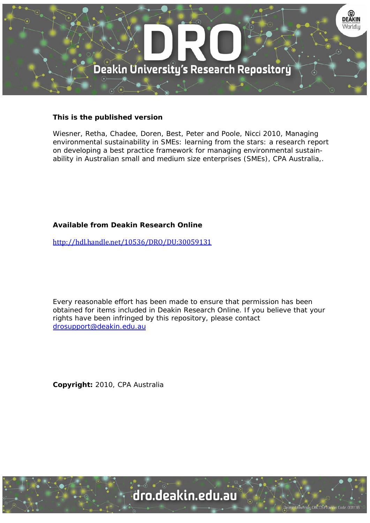

#### **This is the published version**

Wiesner, Retha, Chadee, Doren, Best, Peter and Poole, Nicci 2010, Managing environmental sustainability in SMEs: learning from the stars: a research report on developing a best practice framework for managing environmental sustainability in Australian small and medium size enterprises (SMEs), CPA Australia,.

#### **Available from Deakin Research Online**

http://hdl.handle.net/10536/DRO/DU:30059131

Every reasonable effort has been made to ensure that permission has been obtained for items included in Deakin Research Online. If you believe that your rights have been infringed by this repository, please contact drosupport@deakin.edu.au

**Copyright:** 2010, CPA Australia

University CRICOS Provider Code: 00113B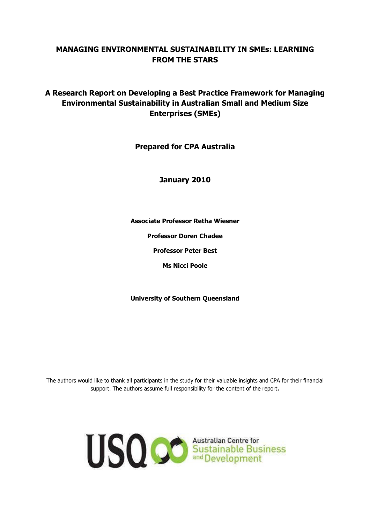### **MANAGING ENVIRONMENTAL SUSTAINABILITY IN SMEs: LEARNING FROM THE STARS**

### **A Research Report on Developing a Best Practice Framework for Managing Environmental Sustainability in Australian Small and Medium Size Enterprises (SMEs)**

**Prepared for CPA Australia**

**January 2010**

**Associate Professor Retha Wiesner**

**Professor Doren Chadee**

**Professor Peter Best**

**Ms Nicci Poole**

**University of Southern Queensland**

The authors would like to thank all participants in the study for their valuable insights and CPA for their financial support. The authors assume full responsibility for the content of the report.

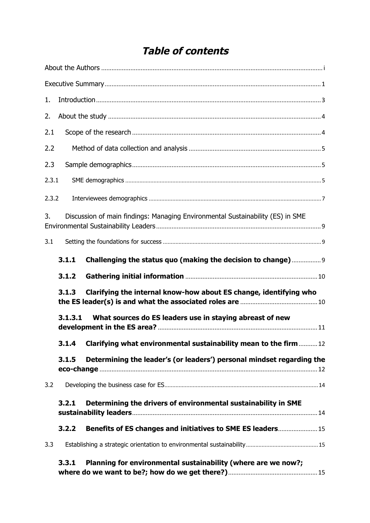# **Table of contents**

| 1.    |         |                                                                                |  |
|-------|---------|--------------------------------------------------------------------------------|--|
| 2.    |         |                                                                                |  |
| 2.1   |         |                                                                                |  |
| 2.2   |         |                                                                                |  |
| 2.3   |         |                                                                                |  |
| 2.3.1 |         |                                                                                |  |
| 2.3.2 |         |                                                                                |  |
| 3.    |         | Discussion of main findings: Managing Environmental Sustainability (ES) in SME |  |
| 3.1   |         |                                                                                |  |
|       | 3.1.1   | Challenging the status quo (making the decision to change)                     |  |
|       | 3.1.2   |                                                                                |  |
|       | 3.1.3   | Clarifying the internal know-how about ES change, identifying who              |  |
|       | 3.1.3.1 | What sources do ES leaders use in staying abreast of new                       |  |
|       |         | 3.1.4 Clarifying what environmental sustainability mean to the firm12          |  |
|       | 3.1.5   | Determining the leader's (or leaders') personal mindset regarding the          |  |
| 3.2   |         |                                                                                |  |
|       | 3.2.1   | Determining the drivers of environmental sustainability in SME                 |  |
|       | 3.2.2   | Benefits of ES changes and initiatives to SME ES leaders 15                    |  |
| 3.3   |         |                                                                                |  |
|       | 3.3.1   | Planning for environmental sustainability (where are we now?;                  |  |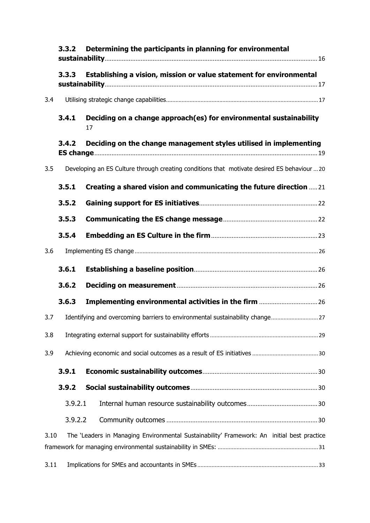|      | Determining the participants in planning for environmental<br>3.3.2 |                                                                                             |  |  |  |
|------|---------------------------------------------------------------------|---------------------------------------------------------------------------------------------|--|--|--|
|      | 3.3.3                                                               | Establishing a vision, mission or value statement for environmental                         |  |  |  |
| 3.4  |                                                                     |                                                                                             |  |  |  |
|      | 3.4.1                                                               | Deciding on a change approach(es) for environmental sustainability<br>17                    |  |  |  |
|      | 3.4.2                                                               | Deciding on the change management styles utilised in implementing                           |  |  |  |
| 3.5  |                                                                     | Developing an ES Culture through creating conditions that motivate desired ES behaviour  20 |  |  |  |
|      | 3.5.1                                                               | Creating a shared vision and communicating the future direction  21                         |  |  |  |
|      | 3.5.2                                                               |                                                                                             |  |  |  |
|      | 3.5.3                                                               |                                                                                             |  |  |  |
|      | 3.5.4                                                               |                                                                                             |  |  |  |
| 3.6  |                                                                     |                                                                                             |  |  |  |
|      | 3.6.1                                                               |                                                                                             |  |  |  |
|      | 3.6.2                                                               |                                                                                             |  |  |  |
|      | 3.6.3                                                               |                                                                                             |  |  |  |
| 3.7  |                                                                     | Identifying and overcoming barriers to environmental sustainability change27                |  |  |  |
| 3.8  |                                                                     |                                                                                             |  |  |  |
| 3.9  |                                                                     |                                                                                             |  |  |  |
|      | 3.9.1                                                               |                                                                                             |  |  |  |
|      | 3.9.2                                                               |                                                                                             |  |  |  |
|      | 3.9.2.1                                                             |                                                                                             |  |  |  |
|      | 3.9.2.2                                                             |                                                                                             |  |  |  |
| 3.10 |                                                                     | The 'Leaders in Managing Environmental Sustainability' Framework: An initial best practice  |  |  |  |
|      | 3.11                                                                |                                                                                             |  |  |  |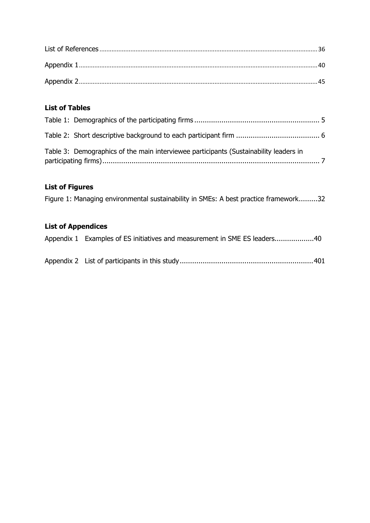### **List of Tables**

| Table 3: Demographics of the main interviewee participants (Sustainability leaders in |  |
|---------------------------------------------------------------------------------------|--|

### **List of Figures**

Figure 1: Managing environmental sustainability in SMEs: A best practice framework.........32

### **List of Appendices**

| Appendix 1 Examples of ES initiatives and measurement in SME ES leaders40 |  |
|---------------------------------------------------------------------------|--|
|                                                                           |  |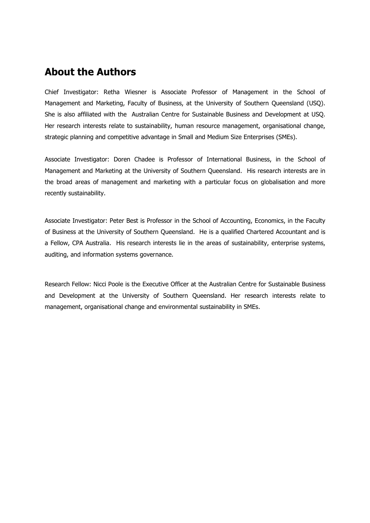# **About the Authors**

Chief Investigator: Retha Wiesner is Associate Professor of Management in the School of Management and Marketing, Faculty of Business, at the University of Southern Queensland (USQ). She is also affiliated with the Australian Centre for Sustainable Business and Development at USQ. Her research interests relate to sustainability, human resource management, organisational change, strategic planning and competitive advantage in Small and Medium Size Enterprises (SMEs).

Associate Investigator: Doren Chadee is Professor of International Business, in the School of Management and Marketing at the University of Southern Queensland. His research interests are in the broad areas of management and marketing with a particular focus on globalisation and more recently sustainability.

Associate Investigator: Peter Best is Professor in the School of Accounting, Economics, in the Faculty of Business at the University of Southern Queensland. He is a qualified Chartered Accountant and is a Fellow, CPA Australia. His research interests lie in the areas of sustainability, enterprise systems, auditing, and information systems governance.

Research Fellow: Nicci Poole is the Executive Officer at the Australian Centre for Sustainable Business and Development at the University of Southern Queensland. Her research interests relate to management, organisational change and environmental sustainability in SMEs.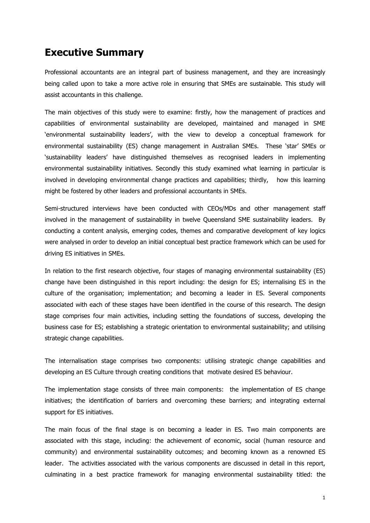## **Executive Summary**

Professional accountants are an integral part of business management, and they are increasingly being called upon to take a more active role in ensuring that SMEs are sustainable. This study will assist accountants in this challenge.

The main objectives of this study were to examine: firstly, how the management of practices and capabilities of environmental sustainability are developed, maintained and managed in SME 'environmental sustainability leaders', with the view to develop a conceptual framework for environmental sustainability (ES) change management in Australian SMEs. These 'star' SMEs or 'sustainability leaders' have distinguished themselves as recognised leaders in implementing environmental sustainability initiatives. Secondly this study examined what learning in particular is involved in developing environmental change practices and capabilities; thirdly, how this learning might be fostered by other leaders and professional accountants in SMEs.

Semi-structured interviews have been conducted with CEOs/MDs and other management staff involved in the management of sustainability in twelve Queensland SME sustainability leaders. By conducting a content analysis, emerging codes, themes and comparative development of key logics were analysed in order to develop an initial conceptual best practice framework which can be used for driving ES initiatives in SMEs.

In relation to the first research objective, four stages of managing environmental sustainability (ES) change have been distinguished in this report including: the design for ES; internalising ES in the culture of the organisation; implementation; and becoming a leader in ES. Several components associated with each of these stages have been identified in the course of this research. The design stage comprises four main activities, including setting the foundations of success, developing the business case for ES; establishing a strategic orientation to environmental sustainability; and utilising strategic change capabilities.

The internalisation stage comprises two components: utilising strategic change capabilities and developing an ES Culture through creating conditions that motivate desired ES behaviour.

The implementation stage consists of three main components: the implementation of ES change initiatives; the identification of barriers and overcoming these barriers; and integrating external support for ES initiatives.

The main focus of the final stage is on becoming a leader in ES. Two main components are associated with this stage, including: the achievement of economic, social (human resource and community) and environmental sustainability outcomes; and becoming known as a renowned ES leader. The activities associated with the various components are discussed in detail in this report, culminating in a best practice framework for managing environmental sustainability titled: the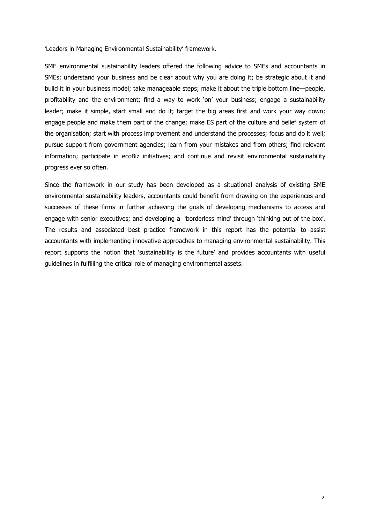'Leaders in Managing Environmental Sustainability' framework.

SME environmental sustainability leaders offered the following advice to SMEs and accountants in SMEs: understand your business and be clear about why you are doing it; be strategic about it and build it in your business model; take manageable steps; make it about the triple bottom line—people, profitability and the environment; find a way to work 'on' your business; engage a sustainability leader; make it simple, start small and do it; target the big areas first and work your way down; engage people and make them part of the change; make ES part of the culture and belief system of the organisation; start with process improvement and understand the processes; focus and do it well; pursue support from government agencies; learn from your mistakes and from others; find relevant information; participate in ecoBiz initiatives; and continue and revisit environmental sustainability progress ever so often.

Since the framework in our study has been developed as a situational analysis of existing SME environmental sustainability leaders, accountants could benefit from drawing on the experiences and successes of these firms in further achieving the goals of developing mechanisms to access and engage with senior executives; and developing a 'borderless mind' through 'thinking out of the box'. The results and associated best practice framework in this report has the potential to assist accountants with implementing innovative approaches to managing environmental sustainability. This report supports the notion that 'sustainability is the future' and provides accountants with useful guidelines in fulfilling the critical role of managing environmental assets.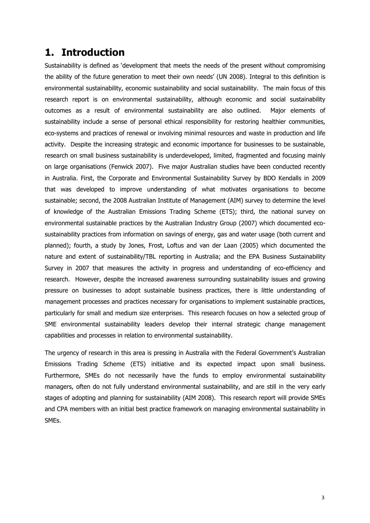## **1. Introduction**

Sustainability is defined as 'development that meets the needs of the present without compromising the ability of the future generation to meet their own needs' (UN 2008). Integral to this definition is environmental sustainability, economic sustainability and social sustainability. The main focus of this research report is on environmental sustainability, although economic and social sustainability outcomes as a result of environmental sustainability are also outlined. Major elements of sustainability include a sense of personal ethical responsibility for restoring healthier communities, eco-systems and practices of renewal or involving minimal resources and waste in production and life activity. Despite the increasing strategic and economic importance for businesses to be sustainable, research on small business sustainability is underdeveloped, limited, fragmented and focusing mainly on large organisations (Fenwick 2007). Five major Australian studies have been conducted recently in Australia. First, the Corporate and Environmental Sustainability Survey by BDO Kendalls in 2009 that was developed to improve understanding of what motivates organisations to become sustainable; second, the 2008 Australian Institute of Management (AIM) survey to determine the level of knowledge of the Australian Emissions Trading Scheme (ETS); third, the national survey on environmental sustainable practices by the Australian Industry Group (2007) which documented ecosustainability practices from information on savings of energy, gas and water usage (both current and planned); fourth, a study by Jones, Frost, Loftus and van der Laan (2005) which documented the nature and extent of sustainability/TBL reporting in Australia; and the EPA Business Sustainability Survey in 2007 that measures the activity in progress and understanding of eco-efficiency and research. However, despite the increased awareness surrounding sustainability issues and growing pressure on businesses to adopt sustainable business practices, there is little understanding of management processes and practices necessary for organisations to implement sustainable practices, particularly for small and medium size enterprises. This research focuses on how a selected group of SME environmental sustainability leaders develop their internal strategic change management capabilities and processes in relation to environmental sustainability.

The urgency of research in this area is pressing in Australia with the Federal Government's Australian Emissions Trading Scheme (ETS) initiative and its expected impact upon small business. Furthermore, SMEs do not necessarily have the funds to employ environmental sustainability managers, often do not fully understand environmental sustainability, and are still in the very early stages of adopting and planning for sustainability (AIM 2008). This research report will provide SMEs and CPA members with an initial best practice framework on managing environmental sustainability in SMEs.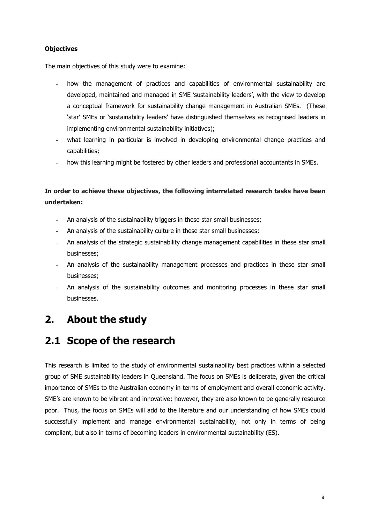#### **Objectives**

The main objectives of this study were to examine:

- how the management of practices and capabilities of environmental sustainability are developed, maintained and managed in SME 'sustainability leaders', with the view to develop a conceptual framework for sustainability change management in Australian SMEs. (These 'star' SMEs or 'sustainability leaders' have distinguished themselves as recognised leaders in implementing environmental sustainability initiatives);
- what learning in particular is involved in developing environmental change practices and capabilities;
- how this learning might be fostered by other leaders and professional accountants in SMEs.

### **In order to achieve these objectives, the following interrelated research tasks have been undertaken:**

- An analysis of the sustainability triggers in these star small businesses;
- An analysis of the sustainability culture in these star small businesses;
- An analysis of the strategic sustainability change management capabilities in these star small businesses;
- An analysis of the sustainability management processes and practices in these star small businesses;
- An analysis of the sustainability outcomes and monitoring processes in these star small businesses.

# **2. About the study**

# **2.1 Scope of the research**

This research is limited to the study of environmental sustainability best practices within a selected group of SME sustainability leaders in Queensland. The focus on SMEs is deliberate, given the critical importance of SMEs to the Australian economy in terms of employment and overall economic activity. SME's are known to be vibrant and innovative; however, they are also known to be generally resource poor. Thus, the focus on SMEs will add to the literature and our understanding of how SMEs could successfully implement and manage environmental sustainability, not only in terms of being compliant, but also in terms of becoming leaders in environmental sustainability (ES).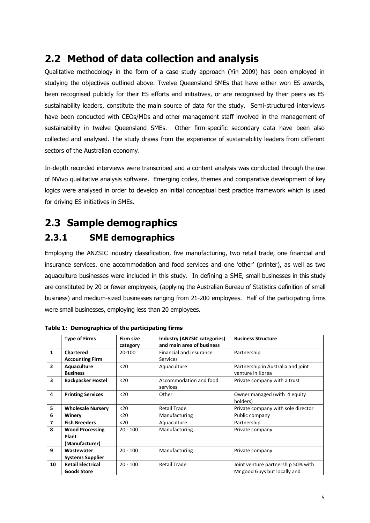# **2.2 Method of data collection and analysis**

Qualitative methodology in the form of a case study approach (Yin 2009) has been employed in studying the objectives outlined above. Twelve Queensland SMEs that have either won ES awards, been recognised publicly for their ES efforts and initiatives, or are recognised by their peers as ES sustainability leaders, constitute the main source of data for the study. Semi-structured interviews have been conducted with CEOs/MDs and other management staff involved in the management of sustainability in twelve Queensland SMEs. Other firm-specific secondary data have been also collected and analysed. The study draws from the experience of sustainability leaders from different sectors of the Australian economy.

In-depth recorded interviews were transcribed and a content analysis was conducted through the use of NVivo qualitative analysis software. Emerging codes, themes and comparative development of key logics were analysed in order to develop an initial conceptual best practice framework which is used for driving ES initiatives in SMEs.

# **2.3 Sample demographics**

## **2.3.1 SME demographics**

Employing the ANZSIC industry classification, five manufacturing, two retail trade, one financial and insurance services, one accommodation and food services and one 'other' (printer), as well as two aquaculture businesses were included in this study. In defining a SME, small businesses in this study are constituted by 20 or fewer employees, (applying the Australian Bureau of Statistics definition of small business) and medium-sized businesses ranging from 21-200 employees. Half of the participating firms were small businesses, employing less than 20 employees.

|                         | <b>Type of Firms</b>     | Firm size  | <b>Industry (ANZSIC categories)</b> | <b>Business Structure</b>          |
|-------------------------|--------------------------|------------|-------------------------------------|------------------------------------|
|                         |                          | category   | and main area of business           |                                    |
| $\mathbf{1}$            | <b>Chartered</b>         | 20-100     | <b>Financial and Insurance</b>      | Partnership                        |
|                         | <b>Accounting Firm</b>   |            | <b>Services</b>                     |                                    |
| $\overline{2}$          | Aquaculture              | $20$       | Aquaculture                         | Partnership in Australia and joint |
|                         | <b>Business</b>          |            |                                     | venture in Korea                   |
| $\overline{\mathbf{3}}$ | <b>Backpacker Hostel</b> | $20$       | Accommodation and food              | Private company with a trust       |
|                         |                          |            | services                            |                                    |
| 4                       | <b>Printing Services</b> | $20$       | Other                               | Owner managed (with 4 equity       |
|                         |                          |            |                                     | holders)                           |
| 5                       | <b>Wholesale Nursery</b> | $20$       | <b>Retail Trade</b>                 | Private company with sole director |
| 6                       | Winery                   | $20$       | Manufacturing                       | Public company                     |
| 7                       | <b>Fish Breeders</b>     | $20$       | Aquaculture                         | Partnership                        |
| 8                       | <b>Wood Processing</b>   | $20 - 100$ | Manufacturing                       | Private company                    |
|                         | Plant                    |            |                                     |                                    |
|                         | (Manufacturer)           |            |                                     |                                    |
| 9                       | Wastewater               | $20 - 100$ | Manufacturing                       | Private company                    |
|                         | <b>Systems Supplier</b>  |            |                                     |                                    |
| 10                      | <b>Retail Electrical</b> | $20 - 100$ | <b>Retail Trade</b>                 | Joint venture partnership 50% with |
|                         | <b>Goods Store</b>       |            |                                     | Mr good Guys but locally and       |

**Table 1: Demographics of the participating firms**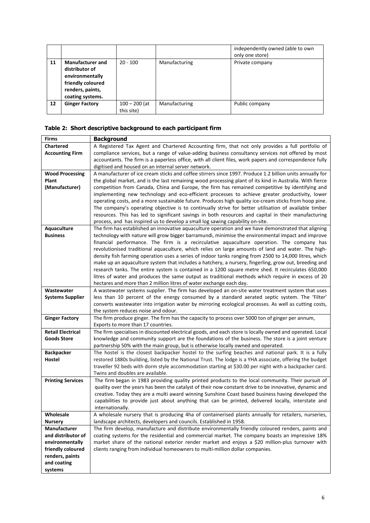|    |                                                                                                                           |                               |               | independently owned (able to own<br>only one store) |
|----|---------------------------------------------------------------------------------------------------------------------------|-------------------------------|---------------|-----------------------------------------------------|
| 11 | <b>Manufacturer and</b><br>distributor of<br>environmentally<br>friendly coloured<br>renders, paints,<br>coating systems. | $20 - 100$                    | Manufacturing | Private company                                     |
| 12 | <b>Ginger Factory</b>                                                                                                     | $100 - 200$ (at<br>this site) | Manufacturing | Public company                                      |

#### **Table 2: Short descriptive background to each participant firm**

| <b>Firms</b>             | <b>Background</b>                                                                                                                                                                                               |
|--------------------------|-----------------------------------------------------------------------------------------------------------------------------------------------------------------------------------------------------------------|
| <b>Chartered</b>         | A Registered Tax Agent and Chartered Accounting firm, that not only provides a full portfolio of                                                                                                                |
| <b>Accounting Firm</b>   | compliance services, but a range of value-adding business consultancy services not offered by most                                                                                                              |
|                          | accountants. The firm is a paperless office, with all client files, work papers and correspondence fully                                                                                                        |
|                          | digitised and housed on an internal server network.                                                                                                                                                             |
| <b>Wood Processing</b>   | A manufacturer of ice cream sticks and coffee stirrers since 1997. Produce 1.2 billion units annually for                                                                                                       |
| Plant                    | the global market, and is the last remaining wood processing plant of its kind in Australia. With fierce                                                                                                        |
| (Manufacturer)           | competition from Canada, China and Europe, the firm has remained competitive by identifying and                                                                                                                 |
|                          | implementing new technology and eco-efficient processes to achieve greater productivity, lower                                                                                                                  |
|                          | operating costs, and a more sustainable future. Produces high quality ice-cream sticks from hoop pine.                                                                                                          |
|                          | The company's operating objective is to continually strive for better utilisation of available timber                                                                                                           |
|                          | resources. This has led to significant savings in both resources and capital in their manufacturing                                                                                                             |
|                          | process, and has inspired us to develop a small log sawing capability on-site.                                                                                                                                  |
| Aquaculture              | The firm has established an innovative aquaculture operation and we have demonstrated that aligning                                                                                                             |
| <b>Business</b>          | technology with nature will grow bigger barramundi, minimise the environmental impact and improve                                                                                                               |
|                          | financial performance. The firm is a recirculative aquaculture operation. The company has                                                                                                                       |
|                          | revolutionised traditional aquaculture, which relies on large amounts of land and water. The high-                                                                                                              |
|                          | density fish farming operation uses a series of indoor tanks ranging from 2500 to 14,000 litres, which<br>make up an aquaculture system that includes a hatchery, a nursery, fingerling, grow out, breeding and |
|                          | research tanks. The entire system is contained in a 1200 square metre shed. It recirculates 650,000                                                                                                             |
|                          | litres of water and produces the same output as traditional methods which require in excess of 20                                                                                                               |
|                          | hectares and more than 2 million litres of water exchange each day.                                                                                                                                             |
| Wastewater               | A wastewater systems supplier. The firm has developed an on-site water treatment system that uses                                                                                                               |
| <b>Systems Supplier</b>  | less than 10 percent of the energy consumed by a standard aerated septic system. The 'Filter'                                                                                                                   |
|                          | converts wastewater into irrigation water by mirroring ecological processes. As well as cutting costs,                                                                                                          |
|                          | the system reduces noise and odour.                                                                                                                                                                             |
| <b>Ginger Factory</b>    | The firm produce ginger. The firm has the capacity to process over 5000 ton of ginger per annum,                                                                                                                |
|                          | Exports to more than 17 countries.                                                                                                                                                                              |
| <b>Retail Electrical</b> | The firm specialises in discounted electrical goods, and each store is locally owned and operated. Local                                                                                                        |
| <b>Goods Store</b>       | knowledge and community support are the foundations of the business. The store is a joint venture                                                                                                               |
|                          | partnership 50% with the main group, but is otherwise locally owned and operated.                                                                                                                               |
| <b>Backpacker</b>        | The hostel is the closest backpacker hostel to the surfing beaches and national park. It is a fully                                                                                                             |
| Hostel                   | restored 1880s building, listed by the National Trust. The lodge is a YHA associate, offering the budget                                                                                                        |
|                          | traveller 92 beds with dorm style accommodation starting at \$30.00 per night with a backpacker card.                                                                                                           |
|                          | Twins and doubles are available.                                                                                                                                                                                |
| <b>Printing Services</b> | The firm began in 1983 providing quality printed products to the local community. Their pursuit of                                                                                                              |
|                          | quality over the years has been the catalyst of their now constant drive to be innovative, dynamic and                                                                                                          |
|                          | creative. Today they are a multi award winning Sunshine Coast based business having developed the<br>capabilities to provide just about anything that can be printed, delivered locally, interstate and         |
|                          | internationally.                                                                                                                                                                                                |
| Wholesale                | A wholesale nursery that is producing 4ha of containerised plants annually for retailers, nurseries,                                                                                                            |
| <b>Nursery</b>           | landscape architects, developers and councils. Established in 1958.                                                                                                                                             |
| Manufacturer             | The firm develop, manufacture and distribute environmentally friendly coloured renders, paints and                                                                                                              |
| and distributor of       | coating systems for the residential and commercial market. The company boasts an impressive 18%                                                                                                                 |
| environmentally          | market share of the national exterior render market and enjoys a \$20 million-plus turnover with                                                                                                                |
| friendly coloured        | clients ranging from individual homeowners to multi-million dollar companies.                                                                                                                                   |
| renders, paints          |                                                                                                                                                                                                                 |
| and coating              |                                                                                                                                                                                                                 |
| systems                  |                                                                                                                                                                                                                 |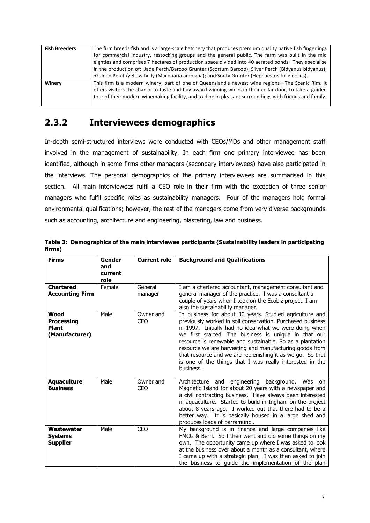| <b>Fish Breeders</b> | The firm breeds fish and is a large-scale hatchery that produces premium quality native fish fingerlings |  |  |  |
|----------------------|----------------------------------------------------------------------------------------------------------|--|--|--|
|                      | for commercial industry, restocking groups and the general public. The farm was built in the mid         |  |  |  |
|                      | eighties and comprises 7 hectares of production space divided into 40 aerated ponds. They specialise     |  |  |  |
|                      | in the production of: Jade Perch/Barcoo Grunter (Scortum Barcoo); Silver Perch (Bidyanus bidyanus);      |  |  |  |
|                      | Golden Perch/yellow belly (Macquaria ambigua); and Sooty Grunter (Hephaestus fuliginosus).               |  |  |  |
| Winery               | This firm is a modern winery, part of one of Queensland's newest wine regions—The Scenic Rim. It         |  |  |  |
|                      | offers visitors the chance to taste and buy award-winning wines in their cellar door, to take a guided   |  |  |  |
|                      | tour of their modern winemaking facility, and to dine in pleasant surroundings with friends and family.  |  |  |  |
|                      |                                                                                                          |  |  |  |

## **2.3.2 Interviewees demographics**

In-depth semi-structured interviews were conducted with CEOs/MDs and other management staff involved in the management of sustainability. In each firm one primary interviewee has been identified, although in some firms other managers (secondary interviewees) have also participated in the interviews. The personal demographics of the primary interviewees are summarised in this section. All main interviewees fulfil a CEO role in their firm with the exception of three senior managers who fulfil specific roles as sustainability managers. Four of the managers hold formal environmental qualifications; however, the rest of the managers come from very diverse backgrounds such as accounting, architecture and engineering, plastering, law and business.

| <b>Firms</b>                                                | <b>Gender</b><br>and<br>current<br>role | <b>Current role</b>     | <b>Background and Qualifications</b>                                                                                                                                                                                                                                                                                                                                                                                                                                                                   |
|-------------------------------------------------------------|-----------------------------------------|-------------------------|--------------------------------------------------------------------------------------------------------------------------------------------------------------------------------------------------------------------------------------------------------------------------------------------------------------------------------------------------------------------------------------------------------------------------------------------------------------------------------------------------------|
| <b>Chartered</b><br><b>Accounting Firm</b>                  | Female                                  | General<br>manager      | I am a chartered accountant, management consultant and<br>general manager of the practice. I was a consultant a<br>couple of years when I took on the Ecobiz project. I am<br>also the sustainability manager.                                                                                                                                                                                                                                                                                         |
| Wood<br><b>Processing</b><br><b>Plant</b><br>(Manufacturer) | Male                                    | Owner and<br><b>CEO</b> | In business for about 30 years. Studied agriculture and<br>previously worked in soil conservation. Purchased business<br>in 1997. Initially had no idea what we were doing when<br>we first started. The business is unique in that our<br>resource is renewable and sustainable. So as a plantation<br>resource we are harvesting and manufacturing goods from<br>that resource and we are replenishing it as we go. So that<br>is one of the things that I was really interested in the<br>business. |
| <b>Aquaculture</b><br><b>Business</b>                       | Male                                    | Owner and<br><b>CEO</b> | Architecture and engineering background. Was on<br>Magnetic Island for about 20 years with a newspaper and<br>a civil contracting business. Have always been interested<br>in aquaculture. Started to build in Ingham on the project<br>about 8 years ago. I worked out that there had to be a<br>better way. It is basically housed in a large shed and<br>produces loads of barramundi.                                                                                                              |
| Wastewater<br><b>Systems</b><br><b>Supplier</b>             | Male                                    | <b>CEO</b>              | My background is in finance and large companies like<br>FMCG & Berri. So I then went and did some things on my<br>own. The opportunity came up where I was asked to look<br>at the business over about a month as a consultant, where<br>I came up with a strategic plan. I was then asked to join<br>the business to guide the implementation of the plan                                                                                                                                             |

|        | Table 3: Demographics of the main interviewee participants (Sustainability leaders in participating |  |
|--------|-----------------------------------------------------------------------------------------------------|--|
| firms) |                                                                                                     |  |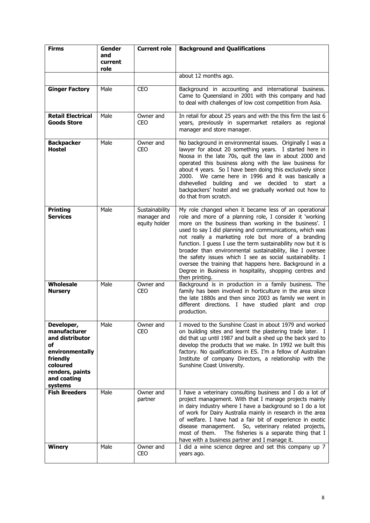| <b>Firms</b>                                                                                                                                | Gender<br>and   | <b>Current role</b>                            | <b>Background and Qualifications</b>                                                                                                                                                                                                                                                                                                                                                                                                                                                                                                                                                                                            |
|---------------------------------------------------------------------------------------------------------------------------------------------|-----------------|------------------------------------------------|---------------------------------------------------------------------------------------------------------------------------------------------------------------------------------------------------------------------------------------------------------------------------------------------------------------------------------------------------------------------------------------------------------------------------------------------------------------------------------------------------------------------------------------------------------------------------------------------------------------------------------|
|                                                                                                                                             | current<br>role |                                                |                                                                                                                                                                                                                                                                                                                                                                                                                                                                                                                                                                                                                                 |
|                                                                                                                                             |                 |                                                | about 12 months ago.                                                                                                                                                                                                                                                                                                                                                                                                                                                                                                                                                                                                            |
| <b>Ginger Factory</b>                                                                                                                       | Male            | <b>CEO</b>                                     | Background in accounting and international business.<br>Came to Queensland in 2001 with this company and had<br>to deal with challenges of low cost competition from Asia.                                                                                                                                                                                                                                                                                                                                                                                                                                                      |
| <b>Retail Electrical</b><br><b>Goods Store</b>                                                                                              | Male            | Owner and<br>CEO                               | In retail for about 25 years and with the this firm the last 6<br>years, previously in supermarket retailers as regional<br>manager and store manager.                                                                                                                                                                                                                                                                                                                                                                                                                                                                          |
| <b>Backpacker</b><br><b>Hostel</b>                                                                                                          | Male            | Owner and<br><b>CEO</b>                        | No background in environmental issues. Originally I was a<br>lawyer for about 20 something years. I started here in<br>Noosa in the late 70s, quit the law in about 2000 and<br>operated this business along with the law business for<br>about 4 years. So I have been doing this exclusively since<br>2000. We came here in 1996 and it was basically a<br>building and we decided to start a<br>dishevelled<br>backpackers' hostel and we gradually worked out how to<br>do that from scratch.                                                                                                                               |
| <b>Printing</b><br><b>Services</b>                                                                                                          | Male            | Sustainability<br>manager and<br>equity holder | My role changed when it became less of an operational<br>role and more of a planning role, I consider it 'working<br>more on the business than working in the business'. I<br>used to say I did planning and communications, which was<br>not really a marketing role but more of a branding<br>function. I guess I use the term sustainability now but it is<br>broader than environmental sustainability, like I oversee<br>the safety issues which I see as social sustainability. I<br>oversee the training that happens here. Background in a<br>Degree in Business in hospitality, shopping centres and<br>then printing. |
| Wholesale<br><b>Nursery</b>                                                                                                                 | Male            | Owner and<br><b>CEO</b>                        | Background is in production in a family business. The<br>family has been involved in horticulture in the area since<br>the late 1880s and then since 2003 as family we went in<br>different directions. I have studied plant and crop<br>production.                                                                                                                                                                                                                                                                                                                                                                            |
| Developer,<br>manufacturer<br>and distributor<br>оf<br>environmentally<br>friendly<br>coloured<br>renders, paints<br>and coating<br>systems | Male            | Owner and<br><b>CEO</b>                        | I moved to the Sunshine Coast in about 1979 and worked<br>on building sites and learnt the plastering trade later. I<br>did that up until 1987 and built a shed up the back yard to<br>develop the products that we make. In 1992 we built this<br>factory. No qualifications in ES. I'm a fellow of Australian<br>Institute of company Directors, a relationship with the<br>Sunshine Coast University.                                                                                                                                                                                                                        |
| <b>Fish Breeders</b>                                                                                                                        | Male            | Owner and<br>partner                           | I have a veterinary consulting business and I do a lot of<br>project management. With that I manage projects mainly<br>in dairy industry where I have a background so I do a lot<br>of work for Dairy Australia mainly in research in the area<br>of welfare. I have had a fair bit of experience in exotic<br>So, veterinary related projects,<br>disease management.<br>most of them.<br>The fisheries is a separate thing that I<br>have with a business partner and I manage it.                                                                                                                                            |
| <b>Winery</b>                                                                                                                               | Male            | Owner and<br><b>CEO</b>                        | I did a wine science degree and set this company up 7<br>years ago.                                                                                                                                                                                                                                                                                                                                                                                                                                                                                                                                                             |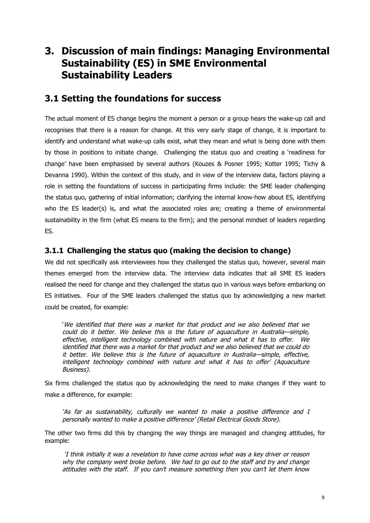# **3. Discussion of main findings: Managing Environmental Sustainability (ES) in SME Environmental Sustainability Leaders**

### **3.1 Setting the foundations for success**

The actual moment of ES change begins the moment a person or a group hears the wake-up call and recognises that there is a reason for change. At this very early stage of change, it is important to identify and understand what wake-up calls exist, what they mean and what is being done with them by those in positions to initiate change. Challenging the status quo and creating a 'readiness for change' have been emphasised by several authors (Kouzes & Posner 1995; Kotter 1995; Tichy & Devanna 1990). Within the context of this study, and in view of the interview data, factors playing a role in setting the foundations of success in participating firms include: the SME leader challenging the status quo, gathering of initial information; clarifying the internal know-how about ES, identifying who the ES leader(s) is, and what the associated roles are; creating a theme of environmental sustainability in the firm (what ES means to the firm); and the personal mindset of leaders regarding ES.

#### **3.1.1 Challenging the status quo (making the decision to change)**

We did not specifically ask interviewees how they challenged the status quo, however, several main themes emerged from the interview data. The interview data indicates that all SME ES leaders realised the need for change and they challenged the status quo in various ways before embarking on ES initiatives. Four of the SME leaders challenged the status quo by acknowledging a new market could be created, for example:

'We identified that there was <sup>a</sup> market for that product and we also believed that we could do it better. We believe this is the future of aquaculture in Australia—simple, effective, intelligent technology combined with nature and what it has to offer. We identified that there was <sup>a</sup> market for that product and we also believed that we could do it better. We believe this is the future of aquaculture in Australia—simple, effective, intelligent technology combined with nature and what it has to offer' (Aquaculture Business).

Six firms challenged the status quo by acknowledging the need to make changes if they want to make a difference, for example:

'As far as sustainability, culturally we wanted to make <sup>a</sup> positive difference and I personally wanted to make <sup>a</sup> positive difference' (Retail Electrical Goods Store).

The other two firms did this by changing the way things are managed and changing attitudes, for example:

'I think initially it was <sup>a</sup> revelation to have come across what was <sup>a</sup> key driver or reason why the company went broke before. We had to go out to the staff and try and change attitudes with the staff. If you can't measure something then you can't let them know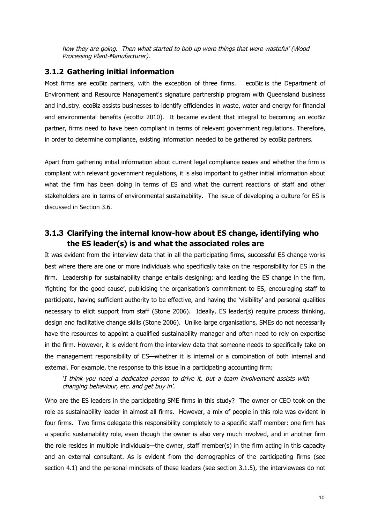how they are going. Then what started to bob up were things that were wasteful' (Wood Processing Plant-Manufacturer).

#### **3.1.2 Gathering initial information**

Most firms are ecoBiz partners, with the exception of three firms. ecoBiz is the Department of Environment and Resource Management's signature partnership program with Queensland business and industry. ecoBiz assists businesses to identify efficiencies in waste, water and energy for financial and environmental benefits (ecoBiz 2010). It became evident that integral to becoming an ecoBiz partner, firms need to have been compliant in terms of relevant government regulations. Therefore, in order to determine compliance, existing information needed to be gathered by ecoBiz partners.

Apart from gathering initial information about current legal compliance issues and whether the firm is compliant with relevant government regulations, it is also important to gather initial information about what the firm has been doing in terms of ES and what the current reactions of staff and other stakeholders are in terms of environmental sustainability. The issue of developing a culture for ES is discussed in Section 3.6.

#### **3.1.3 Clarifying the internal know-how about ES change, identifying who the ES leader(s) is and what the associated roles are**

It was evident from the interview data that in all the participating firms, successful ES change works best where there are one or more individuals who specifically take on the responsibility for ES in the firm. Leadership for sustainability change entails designing; and leading the ES change in the firm, 'fighting for the good cause', publicising the organisation's commitment to ES, encouraging staff to participate, having sufficient authority to be effective, and having the 'visibility' and personal qualities necessary to elicit support from staff (Stone 2006). Ideally, ES leader(s) require process thinking, design and facilitative change skills (Stone 2006). Unlike large organisations, SMEs do not necessarily have the resources to appoint a qualified sustainability manager and often need to rely on expertise in the firm. However, it is evident from the interview data that someone needs to specifically take on the management responsibility of ES—whether it is internal or a combination of both internal and external. For example, the response to this issue in a participating accounting firm:

'I think you need <sup>a</sup> dedicated person to drive it, but <sup>a</sup> team involvement assists with changing behaviour, etc. and get buy in'.

Who are the ES leaders in the participating SME firms in this study? The owner or CEO took on the role as sustainability leader in almost all firms. However, a mix of people in this role was evident in four firms. Two firms delegate this responsibility completely to a specific staff member: one firm has a specific sustainability role, even though the owner is also very much involved, and in another firm the role resides in multiple individuals—the owner, staff member(s) in the firm acting in this capacity and an external consultant. As is evident from the demographics of the participating firms (see section 4.1) and the personal mindsets of these leaders (see section 3.1.5), the interviewees do not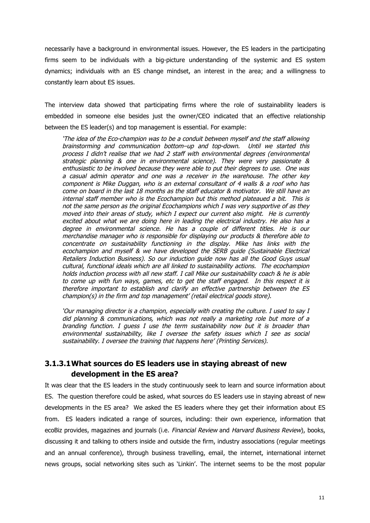necessarily have a background in environmental issues. However, the ES leaders in the participating firms seem to be individuals with a big-picture understanding of the systemic and ES system dynamics; individuals with an ES change mindset, an interest in the area; and a willingness to constantly learn about ES issues.

The interview data showed that participating firms where the role of sustainability leaders is embedded in someone else besides just the owner/CEO indicated that an effective relationship between the ES leader(s) and top management is essential. For example:

'The idea of the Eco-champion was to be <sup>a</sup> conduit between myself and the staff allowing brainstorming and communication bottom–up and top-down. Until we started this process I didn't realise that we had 2 staff with environmental degrees (environmental strategic planning & one in environmental science). They were very passionate & enthusiastic to be involved because they were able to put their degrees to use. One was <sup>a</sup> casual admin operator and one was <sup>a</sup> receiver in the warehouse. The other key component is Mike Duggan, who is an external consultant of 4 walls & <sup>a</sup> roof who has come on board in the last 18 months as the staff educator & motivator. We still have an internal staff member who is the Ecochampion but this method plateaued <sup>a</sup> bit. This is not the same person as the original Ecochampions which I was very supportive of as they moved into their areas of study, which I expect our current also might. He is currently excited about what we are doing here in leading the electrical industry. He also has <sup>a</sup> degree in environmental science. He has <sup>a</sup> couple of different titles. He is our merchandise manager who is responsible for displaying our products & therefore able to concentrate on sustainability functioning in the display. Mike has links with the ecochampion and myself & we have developed the SERB guide (Sustainable Electrical Retailers Induction Business). So our induction guide now has all the Good Guys usual cultural, functional ideals which are all linked to sustainability actions. The ecochampion holds induction process with all new staff. I call Mike our sustainability coach & he is able to come up with fun ways, games, etc to get the staff engaged. In this respect it is therefore important to establish and clarify an effective partnership between the ES champion(s) in the firm and top management' (retail electrical goods store).

'Our managing director is <sup>a</sup> champion, especially with creating the culture. I used to say I did planning & communications, which was not really <sup>a</sup> marketing role but more of <sup>a</sup> branding function. I guess I use the term sustainability now but it is broader than environmental sustainability, like I oversee the safety issues which I see as social sustainability. I oversee the training that happens here' (Printing Services).

### **3.1.3.1What sources do ES leaders use in staying abreast of new development in the ES area?**

It was clear that the ES leaders in the study continuously seek to learn and source information about ES. The question therefore could be asked, what sources do ES leaders use in staying abreast of new developments in the ES area? We asked the ES leaders where they get their information about ES from. ES leaders indicated a range of sources, including: their own experience, information that ecoBiz provides, magazines and journals (i.e. Financial Review and Harvard Business Review), books, discussing it and talking to others inside and outside the firm, industry associations (regular meetings and an annual conference), through business travelling, email, the internet, international internet news groups, social networking sites such as 'Linkin'. The internet seems to be the most popular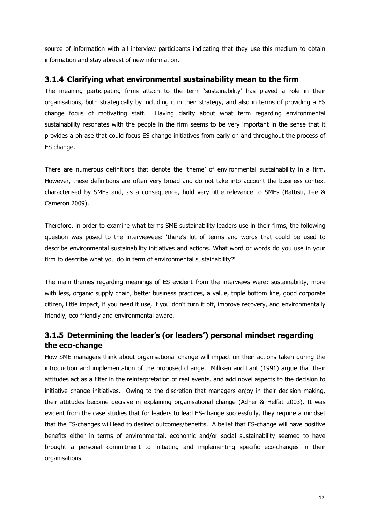source of information with all interview participants indicating that they use this medium to obtain information and stay abreast of new information.

#### **3.1.4 Clarifying what environmental sustainability mean to the firm**

The meaning participating firms attach to the term 'sustainability' has played a role in their organisations, both strategically by including it in their strategy, and also in terms of providing a ES change focus of motivating staff. Having clarity about what term regarding environmental sustainability resonates with the people in the firm seems to be very important in the sense that it provides a phrase that could focus ES change initiatives from early on and throughout the process of ES change.

There are numerous definitions that denote the 'theme' of environmental sustainability in a firm. However, these definitions are often very broad and do not take into account the business context characterised by SMEs and, as a consequence, hold very little relevance to SMEs (Battisti, Lee & Cameron 2009).

Therefore, in order to examine what terms SME sustainability leaders use in their firms, the following question was posed to the interviewees: 'there's lot of terms and words that could be used to describe environmental sustainability initiatives and actions. What word or words do you use in your firm to describe what you do in term of environmental sustainability?'

The main themes regarding meanings of ES evident from the interviews were: sustainability, more with less, organic supply chain, better business practices, a value, triple bottom line, good corporate citizen, little impact, if you need it use, if you don't turn it off, improve recovery, and environmentally friendly, eco friendly and environmental aware.

### **3.1.5 Determining the leader's (or leaders') personal mindset regarding the eco-change**

How SME managers think about organisational change will impact on their actions taken during the introduction and implementation of the proposed change. Milliken and Lant (1991) argue that their attitudes act as a filter in the reinterpretation of real events, and add novel aspects to the decision to initiative change initiatives. Owing to the discretion that managers enjoy in their decision making, their attitudes become decisive in explaining organisational change (Adner & Helfat 2003). It was evident from the case studies that for leaders to lead ES-change successfully, they require a mindset that the ES-changes will lead to desired outcomes/benefits. A belief that ES-change will have positive benefits either in terms of environmental, economic and/or social sustainability seemed to have brought a personal commitment to initiating and implementing specific eco-changes in their organisations.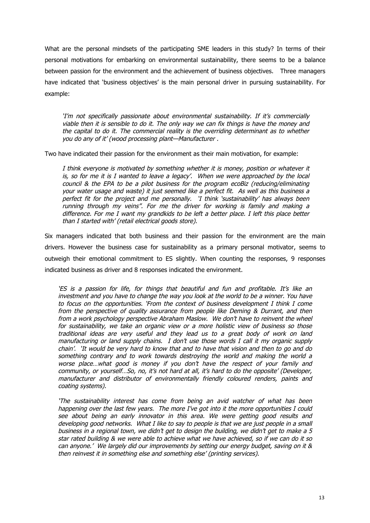What are the personal mindsets of the participating SME leaders in this study? In terms of their personal motivations for embarking on environmental sustainability, there seems to be a balance between passion for the environment and the achievement of business objectives. Three managers have indicated that 'business objectives' is the main personal driver in pursuing sustainability. For example:

'I'm not specifically passionate about environmental sustainability. If it's commercially viable then it is sensible to do it. The only way we can fix things is have the money and the capital to do it. The commercial reality is the overriding determinant as to whether you do any of it' (wood processing plant—Manufacturer .

Two have indicated their passion for the environment as their main motivation, for example:

I think everyone is motivated by something whether it is money, position or whatever it is, so for me it is I wanted to leave <sup>a</sup> legacy'. When we were approached by the local council & the EPA to be <sup>a</sup> pilot business for the program ecoBiz (reducing/eliminating your water usage and waste) it just seemed like <sup>a</sup> perfect fit. As well as this business <sup>a</sup> perfect fit for the project and me personally. 'I think 'sustainability' has always been running through my veins". For me the driver for working is family and making <sup>a</sup> difference. For me I want my grandkids to be left <sup>a</sup> better place. I left this place better than I started with' (retail electrical goods store).

Six managers indicated that both business and their passion for the environment are the main drivers. However the business case for sustainability as a primary personal motivator, seems to outweigh their emotional commitment to ES slightly. When counting the responses, 9 responses indicated business as driver and 8 responses indicated the environment.

'ES is <sup>a</sup> passion for life, for things that beautiful and fun and profitable. It's like an investment and you have to change the way you look at the world to be <sup>a</sup> winner. You have to focus on the opportunities. 'From the context of business development I think I come from the perspective of quality assurance from people like Deming & Durrant, and then from <sup>a</sup> work psychology perspective Abraham Maslow. We don't have to reinvent the wheel for sustainability, we take an organic view or <sup>a</sup> more holistic view of business so those traditional ideas are very useful and they lead us to <sup>a</sup> great body of work on land manufacturing or land supply chains. I don't use those words I call it my organic supply chain'. 'It would be very hard to know that and to have that vision and then to go and do something contrary and to work towards destroying the world and making the world <sup>a</sup> worse place…what good is money if you don't have the respect of your family and community, or yourself…So, no, it's not hard at all, it's hard to do the opposite' (Developer, manufacturer and distributor of environmentally friendly coloured renders, paints and coating systems).

'The sustainability interest has come from being an avid watcher of what has been happening over the last few years. The more I've got into it the more opportunities I could see about being an early innovator in this area. We were getting good results and developing good networks. What I like to say to people is that we are just people in <sup>a</sup> small business in <sup>a</sup> regional town, we didn't get to design the building, we didn't get to make <sup>a</sup> 5 star rated building & we were able to achieve what we have achieved, so if we can do it so can anyone.' We largely did our improvements by setting our energy budget, saving on it & then reinvest it in something else and something else' (printing services).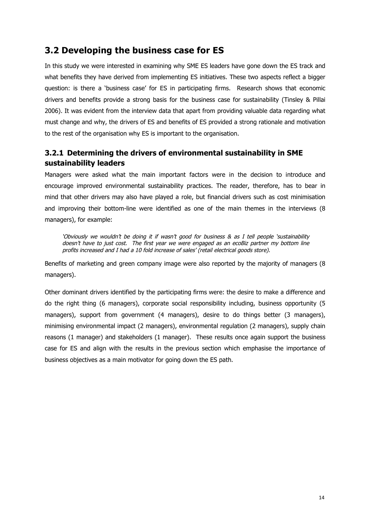### **3.2 Developing the business case for ES**

In this study we were interested in examining why SME ES leaders have gone down the ES track and what benefits they have derived from implementing ES initiatives. These two aspects reflect a bigger question: is there a 'business case' for ES in participating firms. Research shows that economic drivers and benefits provide a strong basis for the business case for sustainability (Tinsley & Pillai 2006). It was evident from the interview data that apart from providing valuable data regarding what must change and why, the drivers of ES and benefits of ES provided a strong rationale and motivation to the rest of the organisation why ES is important to the organisation.

### **3.2.1 Determining the drivers of environmental sustainability in SME sustainability leaders**

Managers were asked what the main important factors were in the decision to introduce and encourage improved environmental sustainability practices. The reader, therefore, has to bear in mind that other drivers may also have played a role, but financial drivers such as cost minimisation and improving their bottom-line were identified as one of the main themes in the interviews (8 managers), for example:

'Obviously we wouldn't be doing it if wasn't good for business & as I tell people 'sustainability doesn't have to just cost. The first year we were engaged as an ecoBiz partner my bottom line profits increased and I had <sup>a</sup> 10 fold increase of sales' (retail electrical goods store).

Benefits of marketing and green company image were also reported by the majority of managers (8 managers).

Other dominant drivers identified by the participating firms were: the desire to make a difference and do the right thing (6 managers), corporate social responsibility including, business opportunity (5 managers), support from government (4 managers), desire to do things better (3 managers), minimising environmental impact (2 managers), environmental regulation (2 managers), supply chain reasons (1 manager) and stakeholders (1 manager). These results once again support the business case for ES and align with the results in the previous section which emphasise the importance of business objectives as a main motivator for going down the ES path.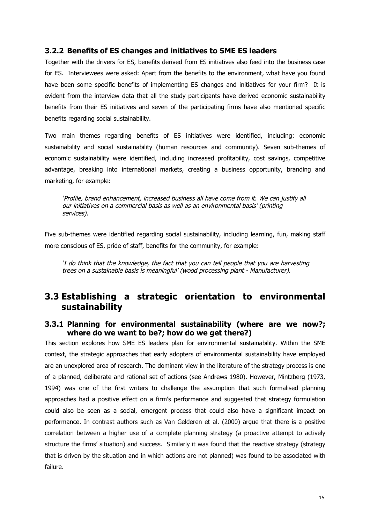#### **3.2.2 Benefits of ES changes and initiatives to SME ES leaders**

Together with the drivers for ES, benefits derived from ES initiatives also feed into the business case for ES. Interviewees were asked: Apart from the benefits to the environment, what have you found have been some specific benefits of implementing ES changes and initiatives for your firm? It is evident from the interview data that all the study participants have derived economic sustainability benefits from their ES initiatives and seven of the participating firms have also mentioned specific benefits regarding social sustainability.

Two main themes regarding benefits of ES initiatives were identified, including: economic sustainability and social sustainability (human resources and community). Seven sub-themes of economic sustainability were identified, including increased profitability, cost savings, competitive advantage, breaking into international markets, creating a business opportunity, branding and marketing, for example:

'Profile, brand enhancement, increased business all have come from it. We can justify all our initiatives on <sup>a</sup> commercial basis as well as an environmental basis' (printing services).

Five sub-themes were identified regarding social sustainability, including learning, fun, making staff more conscious of ES, pride of staff, benefits for the community, for example:

'I do think that the knowledge, the fact that you can tell people that you are harvesting trees on <sup>a</sup> sustainable basis is meaningful' (wood processing plant - Manufacturer).

### **3.3 Establishing a strategic orientation to environmental sustainability**

#### **3.3.1 Planning for environmental sustainability (where are we now?; where do we want to be?; how do we get there?)**

This section explores how SME ES leaders plan for environmental sustainability. Within the SME context, the strategic approaches that early adopters of environmental sustainability have employed are an unexplored area of research. The dominant view in the literature of the strategy process is one of a planned, deliberate and rational set of actions (see Andrews 1980). However, Mintzberg (1973, 1994) was one of the first writers to challenge the assumption that such formalised planning approaches had a positive effect on a firm's performance and suggested that strategy formulation could also be seen as a social, emergent process that could also have a significant impact on performance. In contrast authors such as Van Gelderen et al. (2000) argue that there is a positive correlation between a higher use of a complete planning strategy (a proactive attempt to actively structure the firms' situation) and success. Similarly it was found that the reactive strategy (strategy that is driven by the situation and in which actions are not planned) was found to be associated with failure.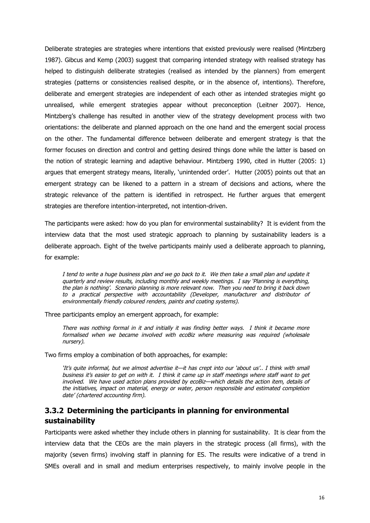Deliberate strategies are strategies where intentions that existed previously were realised (Mintzberg 1987). Gibcus and Kemp (2003) suggest that comparing intended strategy with realised strategy has helped to distinguish deliberate strategies (realised as intended by the planners) from emergent strategies (patterns or consistencies realised despite, or in the absence of, intentions). Therefore, deliberate and emergent strategies are independent of each other as intended strategies might go unrealised, while emergent strategies appear without preconception (Leitner 2007). Hence, Mintzberg's challenge has resulted in another view of the strategy development process with two orientations: the deliberate and planned approach on the one hand and the emergent social process on the other. The fundamental difference between deliberate and emergent strategy is that the former focuses on direction and control and getting desired things done while the latter is based on the notion of strategic learning and adaptive behaviour. Mintzberg 1990, cited in Hutter (2005: 1) argues that emergent strategy means, literally, 'unintended order'. Hutter (2005) points out that an emergent strategy can be likened to a pattern in a stream of decisions and actions, where the strategic relevance of the pattern is identified in retrospect. He further argues that emergent strategies are therefore intention-interpreted, not intention-driven.

The participants were asked: how do you plan for environmental sustainability? It is evident from the interview data that the most used strategic approach to planning by sustainability leaders is a deliberate approach. Eight of the twelve participants mainly used a deliberate approach to planning, for example:

I tend to write <sup>a</sup> huge business plan and we go back to it. We then take <sup>a</sup> small plan and update it quarterly and review results, including monthly and weekly meetings. I say 'Planning is everything, the plan is nothing'. Scenario planning is more relevant now. Then you need to bring it back down to <sup>a</sup> practical perspective with accountability (Developer, manufacturer and distributor of environmentally friendly coloured renders, paints and coating systems).

Three participants employ an emergent approach, for example:

There was nothing formal in it and initially it was finding better ways. I think it became more formalised when we became involved with ecoBiz where measuring was required (wholesale nursery).

Two firms employ a combination of both approaches, for example:

'It's quite informal, but we almost advertise it—it has crept into our 'about us'.. I think with small business it's easier to get on with it. I think it came up in staff meetings where staff want to get involved. We have used action plans provided by ecoBiz—which details the action item, details of the initiatives, impact on material, energy or water, person responsible and estimated completion date' (chartered accounting firm).

#### **3.3.2 Determining the participants in planning for environmental sustainability**

Participants were asked whether they include others in planning for sustainability. It is clear from the interview data that the CEOs are the main players in the strategic process (all firms), with the majority (seven firms) involving staff in planning for ES. The results were indicative of a trend in SMEs overall and in small and medium enterprises respectively, to mainly involve people in the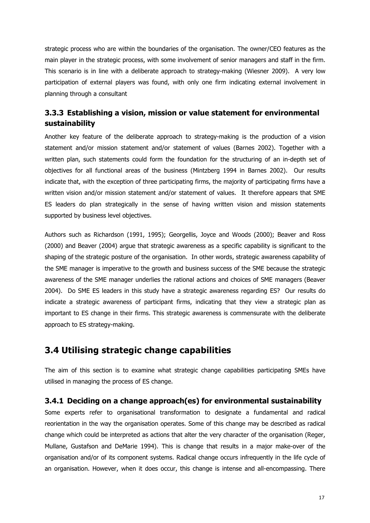strategic process who are within the boundaries of the organisation. The owner/CEO features as the main player in the strategic process, with some involvement of senior managers and staff in the firm. This scenario is in line with a deliberate approach to strategy-making (Wiesner 2009). A very low participation of external players was found, with only one firm indicating external involvement in planning through a consultant

### **3.3.3 Establishing a vision, mission or value statement for environmental sustainability**

Another key feature of the deliberate approach to strategy-making is the production of a vision statement and/or mission statement and/or statement of values (Barnes 2002). Together with a written plan, such statements could form the foundation for the structuring of an in-depth set of objectives for all functional areas of the business (Mintzberg 1994 in Barnes 2002). Our results indicate that, with the exception of three participating firms, the majority of participating firms have a written vision and/or mission statement and/or statement of values. It therefore appears that SME ES leaders do plan strategically in the sense of having written vision and mission statements supported by business level objectives.

Authors such as Richardson (1991, 1995); Georgellis, Joyce and Woods (2000); Beaver and Ross (2000) and Beaver (2004) argue that strategic awareness as a specific capability is significant to the shaping of the strategic posture of the organisation. In other words, strategic awareness capability of the SME manager is imperative to the growth and business success of the SME because the strategic awareness of the SME manager underlies the rational actions and choices of SME managers (Beaver 2004). Do SME ES leaders in this study have a strategic awareness regarding ES? Our results do indicate a strategic awareness of participant firms, indicating that they view a strategic plan as important to ES change in their firms. This strategic awareness is commensurate with the deliberate approach to ES strategy-making.

### **3.4 Utilising strategic change capabilities**

The aim of this section is to examine what strategic change capabilities participating SMEs have utilised in managing the process of ES change.

#### **3.4.1 Deciding on a change approach(es) for environmental sustainability**

Some experts refer to organisational transformation to designate a fundamental and radical reorientation in the way the organisation operates. Some of this change may be described as radical change which could be interpreted as actions that alter the very character of the organisation (Reger, Mullane, Gustafson and DeMarie 1994). This is change that results in a major make-over of the organisation and/or of its component systems. Radical change occurs infrequently in the life cycle of an organisation. However, when it does occur, this change is intense and all-encompassing. There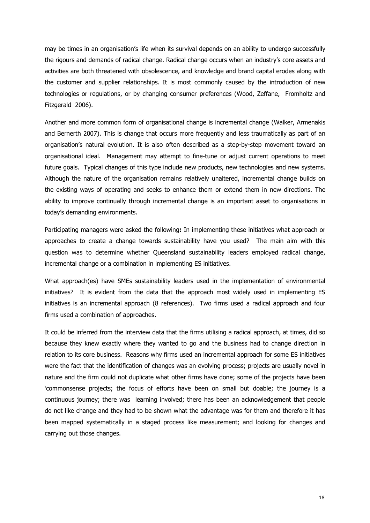may be times in an organisation's life when its survival depends on an ability to undergo successfully the rigours and demands of radical change. Radical change occurs when an industry's core assets and activities are both threatened with obsolescence, and knowledge and brand capital erodes along with the customer and supplier relationships. It is most commonly caused by the introduction of new technologies or regulations, or by changing consumer preferences (Wood, Zeffane, Fromholtz and Fitzgerald 2006).

Another and more common form of organisational change is incremental change (Walker, Armenakis and Bernerth 2007). This is change that occurs more frequently and less traumatically as part of an organisation's natural evolution. It is also often described as a step-by-step movement toward an organisational ideal. Management may attempt to fine-tune or adjust current operations to meet future goals. Typical changes of this type include new products, new technologies and new systems. Although the nature of the organisation remains relatively unaltered, incremental change builds on the existing ways of operating and seeks to enhance them or extend them in new directions. The ability to improve continually through incremental change is an important asset to organisations in today's demanding environments.

Participating managers were asked the following**:** In implementing these initiatives what approach or approaches to create a change towards sustainability have you used? The main aim with this question was to determine whether Queensland sustainability leaders employed radical change, incremental change or a combination in implementing ES initiatives.

What approach(es) have SMEs sustainability leaders used in the implementation of environmental initiatives? It is evident from the data that the approach most widely used in implementing ES initiatives is an incremental approach (8 references). Two firms used a radical approach and four firms used a combination of approaches.

It could be inferred from the interview data that the firms utilising a radical approach, at times, did so because they knew exactly where they wanted to go and the business had to change direction in relation to its core business. Reasons why firms used an incremental approach for some ES initiatives were the fact that the identification of changes was an evolving process; projects are usually novel in nature and the firm could not duplicate what other firms have done; some of the projects have been 'commonsense projects; the focus of efforts have been on small but doable; the journey is a continuous journey; there was learning involved; there has been an acknowledgement that people do not like change and they had to be shown what the advantage was for them and therefore it has been mapped systematically in a staged process like measurement; and looking for changes and carrying out those changes.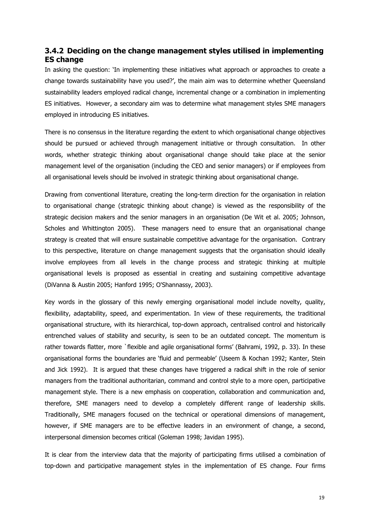#### **3.4.2 Deciding on the change management styles utilised in implementing ES change**

In asking the question: 'In implementing these initiatives what approach or approaches to create a change towards sustainability have you used?', the main aim was to determine whether Queensland sustainability leaders employed radical change, incremental change or a combination in implementing ES initiatives. However, a secondary aim was to determine what management styles SME managers employed in introducing ES initiatives.

There is no consensus in the literature regarding the extent to which organisational change objectives should be pursued or achieved through management initiative or through consultation. In other words, whether strategic thinking about organisational change should take place at the senior management level of the organisation (including the CEO and senior managers) or if employees from all organisational levels should be involved in strategic thinking about organisational change.

Drawing from conventional literature, creating the long-term direction for the organisation in relation to organisational change (strategic thinking about change) is viewed as the responsibility of the strategic decision makers and the senior managers in an organisation (De Wit et al. 2005; Johnson, Scholes and Whittington 2005). These managers need to ensure that an organisational change strategy is created that will ensure sustainable competitive advantage for the organisation. Contrary to this perspective, literature on change management suggests that the organisation should ideally involve employees from all levels in the change process and strategic thinking at multiple organisational levels is proposed as essential in creating and sustaining competitive advantage (DiVanna & Austin 2005; Hanford 1995; O'Shannassy, 2003).

Key words in the glossary of this newly emerging organisational model include novelty, quality, flexibility, adaptability, speed, and experimentation. In view of these requirements, the traditional organisational structure, with its hierarchical, top-down approach, centralised control and historically entrenched values of stability and security, is seen to be an outdated concept. The momentum is rather towards flatter, more `flexible and agile organisational forms' (Bahrami, 1992, p. 33). In these organisational forms the boundaries are 'fluid and permeable' (Useem & Kochan 1992; Kanter, Stein and Jick 1992). It is argued that these changes have triggered a radical shift in the role of senior managers from the traditional authoritarian, command and control style to a more open, participative management style. There is a new emphasis on cooperation, collaboration and communication and, therefore, SME managers need to develop a completely different range of leadership skills. Traditionally, SME managers focused on the technical or operational dimensions of management, however, if SME managers are to be effective leaders in an environment of change, a second, interpersonal dimension becomes critical (Goleman 1998; Javidan 1995).

It is clear from the interview data that the majority of participating firms utilised a combination of top-down and participative management styles in the implementation of ES change. Four firms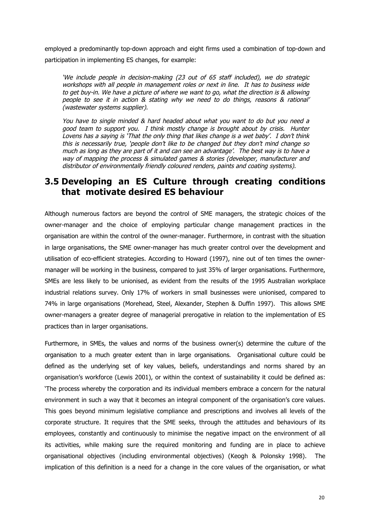employed a predominantly top-down approach and eight firms used a combination of top-down and participation in implementing ES changes, for example:

'We include people in decision-making (23 out of 65 staff included), we do strategic workshops with all people in management roles or next in line. It has to business wide to get buy-in. We have <sup>a</sup> picture of where we want to go, what the direction is & allowing people to see it in action & stating why we need to do things, reasons & rational' (wastewater systems supplier).

You have to single minded & hard headed about what you want to do but you need <sup>a</sup> good team to support you. I think mostly change is brought about by crisis. Hunter Lovens has <sup>a</sup> saying is 'That the only thing that likes change is <sup>a</sup> wet baby'. I don't think this is necessarily true, 'people don't like to be changed but they don't mind change so much as long as they are part of it and can see an advantage'. The best way is to have <sup>a</sup> way of mapping the process & simulated games & stories (developer, manufacturer and distributor of environmentally friendly coloured renders, paints and coating systems).

### **3.5 Developing an ES Culture through creating conditions that motivate desired ES behaviour**

Although numerous factors are beyond the control of SME managers, the strategic choices of the owner-manager and the choice of employing particular change management practices in the organisation are within the control of the owner-manager. Furthermore, in contrast with the situation in large organisations, the SME owner-manager has much greater control over the development and utilisation of eco-efficient strategies. According to Howard (1997), nine out of ten times the ownermanager will be working in the business, compared to just 35% of larger organisations. Furthermore, SMEs are less likely to be unionised, as evident from the results of the 1995 Australian workplace industrial relations survey. Only 17% of workers in small businesses were unionised, compared to 74% in large organisations (Morehead, Steel, Alexander, Stephen & Duffin 1997). This allows SME owner-managers a greater degree of managerial prerogative in relation to the implementation of ES practices than in larger organisations.

Furthermore, in SMEs, the values and norms of the business owner(s) determine the culture of the organisation to a much greater extent than in large organisations. Organisational culture could be defined as the underlying set of key values, beliefs, understandings and norms shared by an organisation's workforce (Lewis 2001), or within the context of sustainability it could be defined as: 'The process whereby the corporation and its individual members embrace a concern for the natural environment in such a way that it becomes an integral component of the organisation's core values. This goes beyond minimum legislative compliance and prescriptions and involves all levels of the corporate structure. It requires that the SME seeks, through the attitudes and behaviours of its employees, constantly and continuously to minimise the negative impact on the environment of all its activities, while making sure the required monitoring and funding are in place to achieve organisational objectives (including environmental objectives) (Keogh & Polonsky 1998). The implication of this definition is a need for a change in the core values of the organisation, or what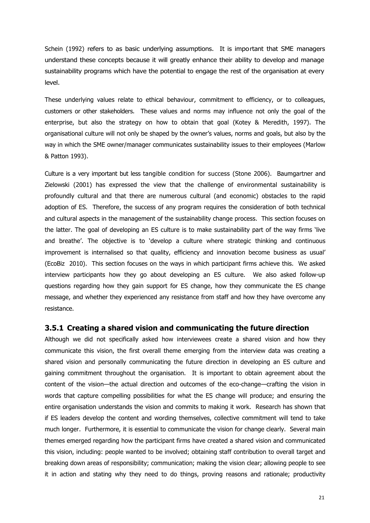Schein (1992) refers to as basic underlying assumptions. It is important that SME managers understand these concepts because it will greatly enhance their ability to develop and manage sustainability programs which have the potential to engage the rest of the organisation at every level.

These underlying values relate to ethical behaviour, commitment to efficiency, or to colleagues, customers or other stakeholders. These values and norms may influence not only the goal of the enterprise, but also the strategy on how to obtain that goal (Kotey & Meredith, 1997). The organisational culture will not only be shaped by the owner's values, norms and goals, but also by the way in which the SME owner/manager communicates sustainability issues to their employees (Marlow & Patton 1993).

Culture is a very important but less tangible condition for success (Stone 2006). Baumgartner and Zielowski (2001) has expressed the view that the challenge of environmental sustainability is profoundly cultural and that there are numerous cultural (and economic) obstacles to the rapid adoption of ES. Therefore, the success of any program requires the consideration of both technical and cultural aspects in the management of the sustainability change process. This section focuses on the latter. The goal of developing an ES culture is to make sustainability part of the way firms 'live and breathe'. The objective is to 'develop a culture where strategic thinking and continuous improvement is internalised so that quality, efficiency and innovation become business as usual' (EcoBiz 2010). This section focuses on the ways in which participant firms achieve this. We asked interview participants how they go about developing an ES culture. We also asked follow-up questions regarding how they gain support for ES change, how they communicate the ES change message, and whether they experienced any resistance from staff and how they have overcome any resistance.

#### **3.5.1 Creating a shared vision and communicating the future direction**

Although we did not specifically asked how interviewees create a shared vision and how they communicate this vision, the first overall theme emerging from the interview data was creating a shared vision and personally communicating the future direction in developing an ES culture and gaining commitment throughout the organisation. It is important to obtain agreement about the content of the vision—the actual direction and outcomes of the eco-change—crafting the vision in words that capture compelling possibilities for what the ES change will produce; and ensuring the entire organisation understands the vision and commits to making it work. Research has shown that if ES leaders develop the content and wording themselves, collective commitment will tend to take much longer. Furthermore, it is essential to communicate the vision for change clearly. Several main themes emerged regarding how the participant firms have created a shared vision and communicated this vision, including: people wanted to be involved; obtaining staff contribution to overall target and breaking down areas of responsibility; communication; making the vision clear; allowing people to see it in action and stating why they need to do things, proving reasons and rationale; productivity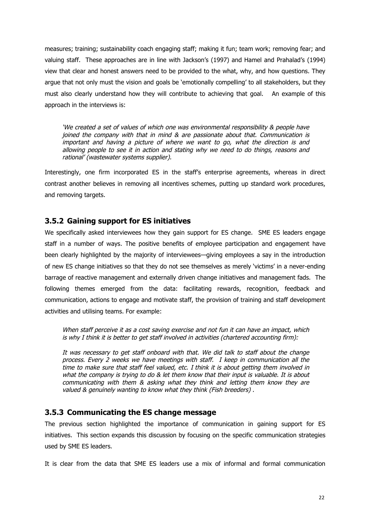measures; training; sustainability coach engaging staff; making it fun; team work; removing fear; and valuing staff. These approaches are in line with Jackson's (1997) and Hamel and Prahalad's (1994) view that clear and honest answers need to be provided to the what, why, and how questions. They argue that not only must the vision and goals be 'emotionally compelling' to all stakeholders, but they must also clearly understand how they will contribute to achieving that goal. An example of this approach in the interviews is:

'We created <sup>a</sup> set of values of which one was environmental responsibility & people have joined the company with that in mind & are passionate about that. Communication is important and having <sup>a</sup> picture of where we want to go, what the direction is and allowing people to see it in action and stating why we need to do things, reasons and rational' (wastewater systems supplier).

Interestingly, one firm incorporated ES in the staff's enterprise agreements, whereas in direct contrast another believes in removing all incentives schemes, putting up standard work procedures, and removing targets.

#### **3.5.2 Gaining support for ES initiatives**

We specifically asked interviewees how they gain support for ES change. SME ES leaders engage staff in a number of ways. The positive benefits of employee participation and engagement have been clearly highlighted by the majority of interviewees—giving employees a say in the introduction of new ES change initiatives so that they do not see themselves as merely 'victims' in a never-ending barrage of reactive management and externally driven change initiatives and management fads. The following themes emerged from the data: facilitating rewards, recognition, feedback and communication, actions to engage and motivate staff, the provision of training and staff development activities and utilising teams. For example:

When staff perceive it as <sup>a</sup> cost saving exercise and not fun it can have an impact, which is why I think it is better to get staff involved in activities (chartered accounting firm):

It was necessary to get staff onboard with that. We did talk to staff about the change process. Every 2 weeks we have meetings with staff. I keep in communication all the time to make sure that staff feel valued, etc. I think it is about getting them involved in what the company is trying to do & let them know that their input is valuable. It is about communicating with them & asking what they think and letting them know they are valued & genuinely wanting to know what they think (Fish breeders) .

#### **3.5.3 Communicating the ES change message**

The previous section highlighted the importance of communication in gaining support for ES initiatives. This section expands this discussion by focusing on the specific communication strategies used by SME ES leaders.

It is clear from the data that SME ES leaders use a mix of informal and formal communication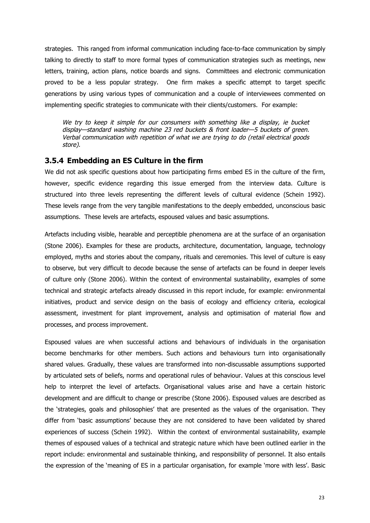strategies. This ranged from informal communication including face-to-face communication by simply talking to directly to staff to more formal types of communication strategies such as meetings, new letters, training, action plans, notice boards and signs. Committees and electronic communication proved to be a less popular strategy. One firm makes a specific attempt to target specific generations by using various types of communication and a couple of interviewees commented on implementing specific strategies to communicate with their clients/customers. For example:

We try to keep it simple for our consumers with something like <sup>a</sup> display, ie bucket display—standard washing machine 23 red buckets & front loader—5 buckets of green. Verbal communication with repetition of what we are trying to do (retail electrical goods store).

#### **3.5.4 Embedding an ES Culture in the firm**

We did not ask specific questions about how participating firms embed ES in the culture of the firm, however, specific evidence regarding this issue emerged from the interview data. Culture is structured into three levels representing the different levels of cultural evidence (Schein 1992). These levels range from the very tangible manifestations to the deeply embedded, unconscious basic assumptions. These levels are artefacts, espoused values and basic assumptions.

Artefacts including visible, hearable and perceptible phenomena are at the surface of an organisation (Stone 2006). Examples for these are products, architecture, documentation, language, technology employed, myths and stories about the company, rituals and ceremonies. This level of culture is easy to observe, but very difficult to decode because the sense of artefacts can be found in deeper levels of culture only (Stone 2006). Within the context of environmental sustainability, examples of some technical and strategic artefacts already discussed in this report include, for example: environmental initiatives, product and service design on the basis of ecology and efficiency criteria, ecological assessment, investment for plant improvement, analysis and optimisation of material flow and processes, and process improvement.

Espoused values are when successful actions and behaviours of individuals in the organisation become benchmarks for other members. Such actions and behaviours turn into organisationally shared values. Gradually, these values are transformed into non-discussable assumptions supported by articulated sets of beliefs, norms and operational rules of behaviour. Values at this conscious level help to interpret the level of artefacts. Organisational values arise and have a certain historic development and are difficult to change or prescribe (Stone 2006). Espoused values are described as the 'strategies, goals and philosophies' that are presented as the values of the organisation. They differ from 'basic assumptions' because they are not considered to have been validated by shared experiences of success (Schein 1992). Within the context of environmental sustainability, example themes of espoused values of a technical and strategic nature which have been outlined earlier in the report include: environmental and sustainable thinking, and responsibility of personnel. It also entails the expression of the 'meaning of ES in a particular organisation, for example 'more with less'. Basic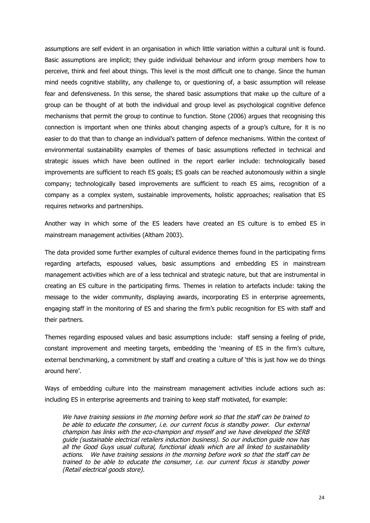assumptions are self evident in an organisation in which little variation within a cultural unit is found. Basic assumptions are implicit; they guide individual behaviour and inform group members how to perceive, think and feel about things. This level is the most difficult one to change. Since the human mind needs cognitive stability, any challenge to, or questioning of, a basic assumption will release fear and defensiveness. In this sense, the shared basic assumptions that make up the culture of a group can be thought of at both the individual and group level as psychological cognitive defence mechanisms that permit the group to continue to function. Stone (2006) argues that recognising this connection is important when one thinks about changing aspects of a group's culture, for it is no easier to do that than to change an individual's pattern of defence mechanisms. Within the context of environmental sustainability examples of themes of basic assumptions reflected in technical and strategic issues which have been outlined in the report earlier include: technologically based improvements are sufficient to reach ES goals; ES goals can be reached autonomously within a single company; technologically based improvements are sufficient to reach ES aims, recognition of a company as a complex system, sustainable improvements, holistic approaches; realisation that ES requires networks and partnerships.

Another way in which some of the ES leaders have created an ES culture is to embed ES in mainstream management activities (Altham 2003).

The data provided some further examples of cultural evidence themes found in the participating firms regarding artefacts, espoused values, basic assumptions and embedding ES in mainstream management activities which are of a less technical and strategic nature, but that are instrumental in creating an ES culture in the participating firms. Themes in relation to artefacts include: taking the message to the wider community, displaying awards, incorporating ES in enterprise agreements, engaging staff in the monitoring of ES and sharing the firm's public recognition for ES with staff and their partners.

Themes regarding espoused values and basic assumptions include: staff sensing a feeling of pride, constant improvement and meeting targets, embedding the 'meaning of ES in the firm's culture, external benchmarking, a commitment by staff and creating a culture of 'this is just how we do things around here'.

Ways of embedding culture into the mainstream management activities include actions such as: including ES in enterprise agreements and training to keep staff motivated, for example:

We have training sessions in the morning before work so that the staff can be trained to be able to educate the consumer, i.e. our current focus is standby power. Our external champion has links with the eco-champion and myself and we have developed the SERB guide (sustainable electrical retailers induction business). So our induction guide now has all the Good Guys usual cultural, functional ideals which are all linked to sustainability actions. We have training sessions in the morning before work so that the staff can be trained to be able to educate the consumer, i.e. our current focus is standby power (Retail electrical goods store).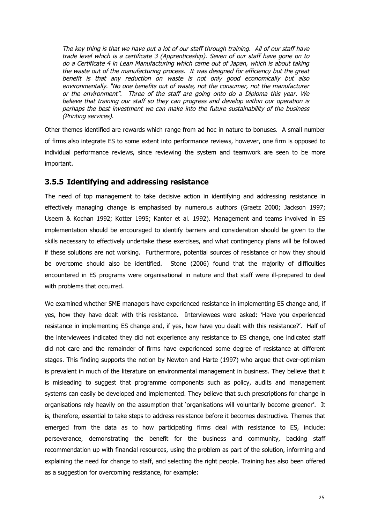The key thing is that we have put <sup>a</sup> lot of our staff through training. All of our staff have trade level which is <sup>a</sup> certificate 3 (Apprenticeship). Seven of our staff have gone on to do <sup>a</sup> Certificate 4 in Lean Manufacturing which came out of Japan, which is about taking the waste out of the manufacturing process. It was designed for efficiency but the great benefit is that any reduction on waste is not only good economically but also environmentally. "No one benefits out of waste, not the consumer, not the manufacturer or the environment". Three of the staff are going onto do <sup>a</sup> Diploma this year. We believe that training our staff so they can progress and develop within our operation is perhaps the best investment we can make into the future sustainability of the business (Printing services).

Other themes identified are rewards which range from ad hoc in nature to bonuses. A small number of firms also integrate ES to some extent into performance reviews, however, one firm is opposed to individual performance reviews, since reviewing the system and teamwork are seen to be more important.

#### **3.5.5 Identifying and addressing resistance**

The need of top management to take decisive action in identifying and addressing resistance in effectively managing change is emphasised by numerous authors (Graetz 2000; Jackson 1997; Useem & Kochan 1992; Kotter 1995; Kanter et al. 1992). Management and teams involved in ES implementation should be encouraged to identify barriers and consideration should be given to the skills necessary to effectively undertake these exercises, and what contingency plans will be followed if these solutions are not working. Furthermore, potential sources of resistance or how they should be overcome should also be identified. Stone (2006) found that the majority of difficulties encountered in ES programs were organisational in nature and that staff were ill-prepared to deal with problems that occurred.

We examined whether SME managers have experienced resistance in implementing ES change and, if yes, how they have dealt with this resistance. Interviewees were asked: 'Have you experienced resistance in implementing ES change and, if yes, how have you dealt with this resistance?'. Half of the interviewees indicated they did not experience any resistance to ES change, one indicated staff did not care and the remainder of firms have experienced some degree of resistance at different stages. This finding supports the notion by Newton and Harte (1997) who argue that over-optimism is prevalent in much of the literature on environmental management in business. They believe that it is misleading to suggest that programme components such as policy, audits and management systems can easily be developed and implemented. They believe that such prescriptions for change in organisations rely heavily on the assumption that 'organisations will voluntarily become greener'. It is, therefore, essential to take steps to address resistance before it becomes destructive. Themes that emerged from the data as to how participating firms deal with resistance to ES, include: perseverance, demonstrating the benefit for the business and community, backing staff recommendation up with financial resources, using the problem as part of the solution, informing and explaining the need for change to staff, and selecting the right people. Training has also been offered as a suggestion for overcoming resistance, for example: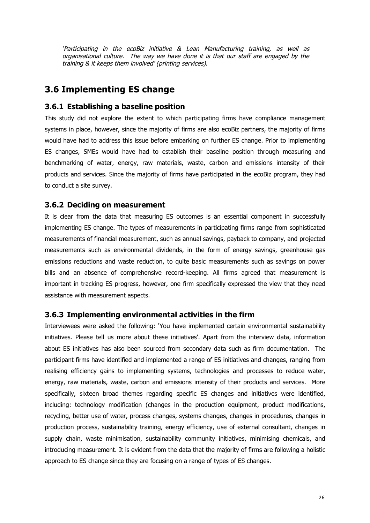'Participating in the ecoBiz initiative & Lean Manufacturing training, as well as organisational culture. The way we have done it is that our staff are engaged by the training & it keeps them involved' (printing services).

### **3.6 Implementing ES change**

#### **3.6.1 Establishing a baseline position**

This study did not explore the extent to which participating firms have compliance management systems in place, however, since the majority of firms are also ecoBiz partners, the majority of firms would have had to address this issue before embarking on further ES change. Prior to implementing ES changes, SMEs would have had to establish their baseline position through measuring and benchmarking of water, energy, raw materials, waste, carbon and emissions intensity of their products and services. Since the majority of firms have participated in the ecoBiz program, they had to conduct a site survey.

#### **3.6.2 Deciding on measurement**

It is clear from the data that measuring ES outcomes is an essential component in successfully implementing ES change. The types of measurements in participating firms range from sophisticated measurements of financial measurement, such as annual savings, payback to company, and projected measurements such as environmental dividends, in the form of energy savings, greenhouse gas emissions reductions and waste reduction, to quite basic measurements such as savings on power bills and an absence of comprehensive record-keeping. All firms agreed that measurement is important in tracking ES progress, however, one firm specifically expressed the view that they need assistance with measurement aspects.

#### **3.6.3 Implementing environmental activities in the firm**

Interviewees were asked the following: 'You have implemented certain environmental sustainability initiatives. Please tell us more about these initiatives'. Apart from the interview data, information about ES initiatives has also been sourced from secondary data such as firm documentation. The participant firms have identified and implemented a range of ES initiatives and changes, ranging from realising efficiency gains to implementing systems, technologies and processes to reduce water, energy, raw materials, waste, carbon and emissions intensity of their products and services. More specifically, sixteen broad themes regarding specific ES changes and initiatives were identified, including: technology modification (changes in the production equipment, product modifications, recycling, better use of water, process changes, systems changes, changes in procedures, changes in production process, sustainability training, energy efficiency, use of external consultant, changes in supply chain, waste minimisation, sustainability community initiatives, minimising chemicals, and introducing measurement. It is evident from the data that the majority of firms are following a holistic approach to ES change since they are focusing on a range of types of ES changes.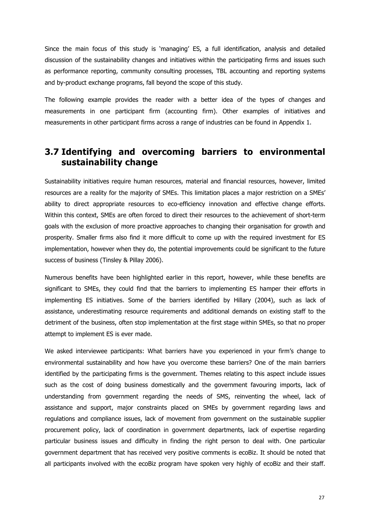Since the main focus of this study is 'managing' ES, a full identification, analysis and detailed discussion of the sustainability changes and initiatives within the participating firms and issues such as performance reporting, community consulting processes, TBL accounting and reporting systems and by-product exchange programs, fall beyond the scope of this study.

The following example provides the reader with a better idea of the types of changes and measurements in one participant firm (accounting firm). Other examples of initiatives and measurements in other participant firms across a range of industries can be found in Appendix 1.

### **3.7 Identifying and overcoming barriers to environmental sustainability change**

Sustainability initiatives require human resources, material and financial resources, however, limited resources are a reality for the majority of SMEs. This limitation places a major restriction on a SMEs' ability to direct appropriate resources to eco-efficiency innovation and effective change efforts. Within this context, SMEs are often forced to direct their resources to the achievement of short-term goals with the exclusion of more proactive approaches to changing their organisation for growth and prosperity. Smaller firms also find it more difficult to come up with the required investment for ES implementation, however when they do, the potential improvements could be significant to the future success of business (Tinsley & Pillay 2006).

Numerous benefits have been highlighted earlier in this report, however, while these benefits are significant to SMEs, they could find that the barriers to implementing ES hamper their efforts in implementing ES initiatives. Some of the barriers identified by Hillary (2004), such as lack of assistance, underestimating resource requirements and additional demands on existing staff to the detriment of the business, often stop implementation at the first stage within SMEs, so that no proper attempt to implement ES is ever made.

We asked interviewee participants: What barriers have you experienced in your firm's change to environmental sustainability and how have you overcome these barriers? One of the main barriers identified by the participating firms is the government. Themes relating to this aspect include issues such as the cost of doing business domestically and the government favouring imports, lack of understanding from government regarding the needs of SMS, reinventing the wheel, lack of assistance and support, major constraints placed on SMEs by government regarding laws and regulations and compliance issues, lack of movement from government on the sustainable supplier procurement policy, lack of coordination in government departments, lack of expertise regarding particular business issues and difficulty in finding the right person to deal with. One particular government department that has received very positive comments is ecoBiz. It should be noted that all participants involved with the ecoBiz program have spoken very highly of ecoBiz and their staff.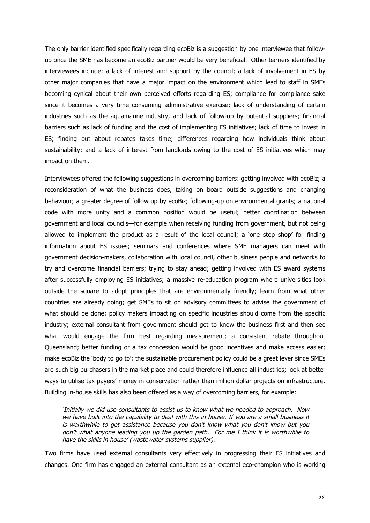The only barrier identified specifically regarding ecoBiz is a suggestion by one interviewee that followup once the SME has become an ecoBiz partner would be very beneficial. Other barriers identified by interviewees include: a lack of interest and support by the council; a lack of involvement in ES by other major companies that have a major impact on the environment which lead to staff in SMEs becoming cynical about their own perceived efforts regarding ES; compliance for compliance sake since it becomes a very time consuming administrative exercise; lack of understanding of certain industries such as the aquamarine industry, and lack of follow-up by potential suppliers; financial barriers such as lack of funding and the cost of implementing ES initiatives; lack of time to invest in ES; finding out about rebates takes time; differences regarding how individuals think about sustainability; and a lack of interest from landlords owing to the cost of ES initiatives which may impact on them.

Interviewees offered the following suggestions in overcoming barriers: getting involved with ecoBiz; a reconsideration of what the business does, taking on board outside suggestions and changing behaviour; a greater degree of follow up by ecoBiz; following-up on environmental grants; a national code with more unity and a common position would be useful; better coordination between government and local councils—for example when receiving funding from government, but not being allowed to implement the product as a result of the local council; a 'one stop shop' for finding information about ES issues; seminars and conferences where SME managers can meet with government decision-makers, collaboration with local council, other business people and networks to try and overcome financial barriers; trying to stay ahead; getting involved with ES award systems after successfully employing ES initiatives; a massive re-education program where universities look outside the square to adopt principles that are environmentally friendly; learn from what other countries are already doing; get SMEs to sit on advisory committees to advise the government of what should be done; policy makers impacting on specific industries should come from the specific industry; external consultant from government should get to know the business first and then see what would engage the firm best regarding measurement; a consistent rebate throughout Queensland; better funding or a tax concession would be good incentives and make access easier; make ecoBiz the 'body to go to'; the sustainable procurement policy could be a great lever since SMEs are such big purchasers in the market place and could therefore influence all industries; look at better ways to utilise tax payers' money in conservation rather than million dollar projects on infrastructure. Building in-house skills has also been offered as a way of overcoming barriers, for example:

'Initially we did use consultants to assist us to know what we needed to approach. Now we have built into the capability to deal with this in house. If you are <sup>a</sup> small business it is worthwhile to get assistance because you don't know what you don't know but you don't what anyone leading you up the garden path. For me I think it is worthwhile to have the skills in house' (wastewater systems supplier).

Two firms have used external consultants very effectively in progressing their ES initiatives and changes. One firm has engaged an external consultant as an external eco-champion who is working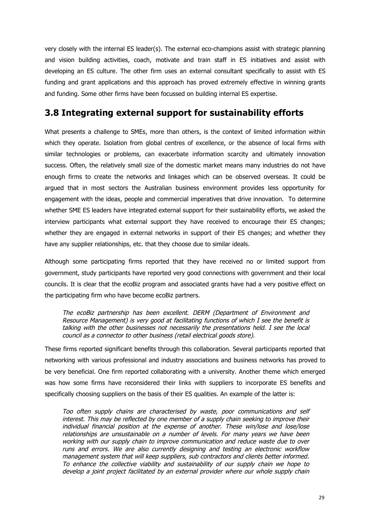very closely with the internal ES leader(s). The external eco-champions assist with strategic planning and vision building activities, coach, motivate and train staff in ES initiatives and assist with developing an ES culture. The other firm uses an external consultant specifically to assist with ES funding and grant applications and this approach has proved extremely effective in winning grants and funding. Some other firms have been focussed on building internal ES expertise.

### **3.8 Integrating external support for sustainability efforts**

What presents a challenge to SMEs, more than others, is the context of limited information within which they operate. Isolation from global centres of excellence, or the absence of local firms with similar technologies or problems, can exacerbate information scarcity and ultimately innovation success. Often, the relatively small size of the domestic market means many industries do not have enough firms to create the networks and linkages which can be observed overseas. It could be argued that in most sectors the Australian business environment provides less opportunity for engagement with the ideas, people and commercial imperatives that drive innovation. To determine whether SME ES leaders have integrated external support for their sustainability efforts, we asked the interview participants what external support they have received to encourage their ES changes; whether they are engaged in external networks in support of their ES changes; and whether they have any supplier relationships, etc. that they choose due to similar ideals.

Although some participating firms reported that they have received no or limited support from government, study participants have reported very good connections with government and their local councils. It is clear that the ecoBiz program and associated grants have had a very positive effect on the participating firm who have become ecoBiz partners.

The ecoBiz partnership has been excellent. DERM (Department of Environment and Resource Management) is very good at facilitating functions of which I see the benefit is talking with the other businesses not necessarily the presentations held. I see the local council as <sup>a</sup> connector to other business (retail electrical goods store).

These firms reported significant benefits through this collaboration. Several participants reported that networking with various professional and industry associations and business networks has proved to be very beneficial. One firm reported collaborating with a university. Another theme which emerged was how some firms have reconsidered their links with suppliers to incorporate ES benefits and specifically choosing suppliers on the basis of their ES qualities. An example of the latter is:

Too often supply chains are characterised by waste, poor communications and self interest. This may be reflected by one member of <sup>a</sup> supply chain seeking to improve their individual financial position at the expense of another. These win/lose and lose/lose relationships are unsustainable on <sup>a</sup> number of levels. For many years we have been working with our supply chain to improve communication and reduce waste due to over runs and errors. We are also currently designing and testing an electronic workflow management system that will keep suppliers, sub contractors and clients better informed. To enhance the collective viability and sustainability of our supply chain we hope to develop <sup>a</sup> joint project facilitated by an external provider where our whole supply chain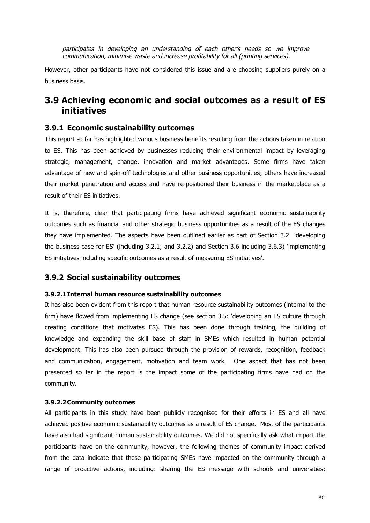participates in developing an understanding of each other's needs so we improve communication, minimise waste and increase profitability for all (printing services).

However, other participants have not considered this issue and are choosing suppliers purely on a business basis.

### **3.9 Achieving economic and social outcomes as a result of ES initiatives**

#### **3.9.1 Economic sustainability outcomes**

This report so far has highlighted various business benefits resulting from the actions taken in relation to ES. This has been achieved by businesses reducing their environmental impact by leveraging strategic, management, change, innovation and market advantages. Some firms have taken advantage of new and spin-off technologies and other business opportunities; others have increased their market penetration and access and have re-positioned their business in the marketplace as a result of their ES initiatives.

It is, therefore, clear that participating firms have achieved significant economic sustainability outcomes such as financial and other strategic business opportunities as a result of the ES changes they have implemented. The aspects have been outlined earlier as part of Section 3.2 'developing the business case for ES' (including 3.2.1; and 3.2.2) and Section 3.6 including 3.6.3) 'implementing ES initiatives including specific outcomes as a result of measuring ES initiatives'.

#### **3.9.2 Social sustainability outcomes**

#### **3.9.2.1Internal human resource sustainability outcomes**

It has also been evident from this report that human resource sustainability outcomes (internal to the firm) have flowed from implementing ES change (see section 3.5: 'developing an ES culture through creating conditions that motivates ES). This has been done through training, the building of knowledge and expanding the skill base of staff in SMEs which resulted in human potential development. This has also been pursued through the provision of rewards, recognition, feedback and communication, engagement, motivation and team work. One aspect that has not been presented so far in the report is the impact some of the participating firms have had on the community.

#### **3.9.2.2Community outcomes**

All participants in this study have been publicly recognised for their efforts in ES and all have achieved positive economic sustainability outcomes as a result of ES change. Most of the participants have also had significant human sustainability outcomes. We did not specifically ask what impact the participants have on the community, however, the following themes of community impact derived from the data indicate that these participating SMEs have impacted on the community through a range of proactive actions, including: sharing the ES message with schools and universities;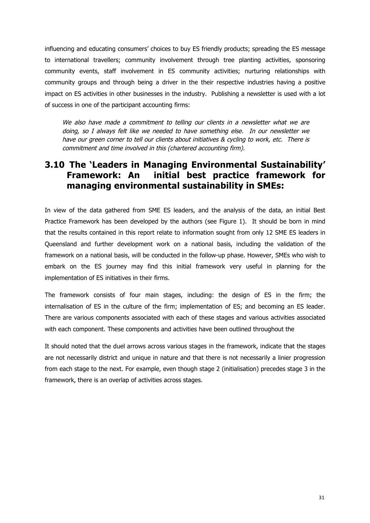influencing and educating consumers' choices to buy ES friendly products; spreading the ES message to international travellers; community involvement through tree planting activities, sponsoring community events, staff involvement in ES community activities; nurturing relationships with community groups and through being a driver in the their respective industries having a positive impact on ES activities in other businesses in the industry. Publishing a newsletter is used with a lot of success in one of the participant accounting firms:

We also have made a commitment to telling our clients in a newsletter what we are doing, so I always felt like we needed to have something else. In our newsletter we have our green corner to tell our clients about initiatives & cycling to work, etc. There is commitment and time involved in this (chartered accounting firm).

### **3.10 The 'Leaders in Managing Environmental Sustainability' Framework: An initial best practice framework for managing environmental sustainability in SMEs:**

In view of the data gathered from SME ES leaders, and the analysis of the data, an initial Best Practice Framework has been developed by the authors (see Figure 1). It should be born in mind that the results contained in this report relate to information sought from only 12 SME ES leaders in Queensland and further development work on a national basis, including the validation of the framework on a national basis, will be conducted in the follow-up phase. However, SMEs who wish to embark on the ES journey may find this initial framework very useful in planning for the implementation of ES initiatives in their firms.

The framework consists of four main stages, including: the design of ES in the firm; the internalisation of ES in the culture of the firm; implementation of ES; and becoming an ES leader. There are various components associated with each of these stages and various activities associated with each component. These components and activities have been outlined throughout the

It should noted that the duel arrows across various stages in the framework, indicate that the stages are not necessarily district and unique in nature and that there is not necessarily a linier progression from each stage to the next. For example, even though stage 2 (initialisation) precedes stage 3 in the framework, there is an overlap of activities across stages.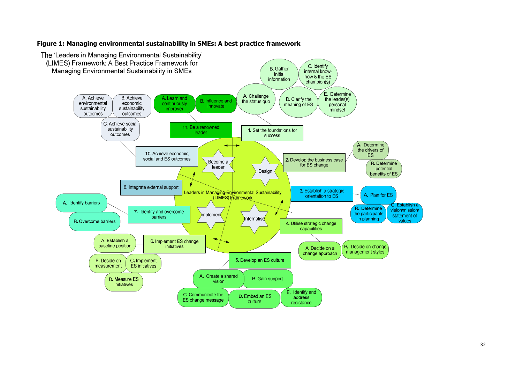#### **Figure 1: Managing environmental sustainability in SMEs: A best practice framework**

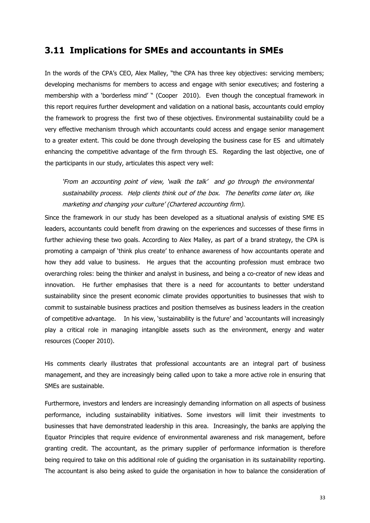### **3.11 Implications for SMEs and accountants in SMEs**

In the words of the CPA's CEO, Alex Malley, "the CPA has three key objectives: servicing members; developing mechanisms for members to access and engage with senior executives; and fostering a membership with a 'borderless mind' " (Cooper 2010). Even though the conceptual framework in this report requires further development and validation on a national basis, accountants could employ the framework to progress the first two of these objectives. Environmental sustainability could be a very effective mechanism through which accountants could access and engage senior management to a greater extent. This could be done through developing the business case for ES and ultimately enhancing the competitive advantage of the firm through ES. Regarding the last objective, one of the participants in our study, articulates this aspect very well:

'From an accounting point of view, 'walk the talk' and go through the environmental sustainability process. Help clients think out of the box. The benefits come later on, like marketing and changing your culture' (Chartered accounting firm).

Since the framework in our study has been developed as a situational analysis of existing SME ES leaders, accountants could benefit from drawing on the experiences and successes of these firms in further achieving these two goals. According to Alex Malley, as part of a brand strategy, the CPA is promoting a campaign of 'think plus create' to enhance awareness of how accountants operate and how they add value to business. He argues that the accounting profession must embrace two overarching roles: being the thinker and analyst in business, and being a co-creator of new ideas and innovation. He further emphasises that there is a need for accountants to better understand sustainability since the present economic climate provides opportunities to businesses that wish to commit to sustainable business practices and position themselves as business leaders in the creation of competitive advantage. In his view, 'sustainability is the future' and 'accountants will increasingly play a critical role in managing intangible assets such as the environment, energy and water resources (Cooper 2010).

His comments clearly illustrates that professional accountants are an integral part of business management, and they are increasingly being called upon to take a more active role in ensuring that SMEs are sustainable.

Furthermore, investors and lenders are increasingly demanding information on all aspects of business performance, including sustainability initiatives. Some investors will limit their investments to businesses that have demonstrated leadership in this area. Increasingly, the banks are applying the Equator Principles that require evidence of environmental awareness and risk management, before granting credit. The accountant, as the primary supplier of performance information is therefore being required to take on this additional role of guiding the organisation in its sustainability reporting. The accountant is also being asked to guide the organisation in how to balance the consideration of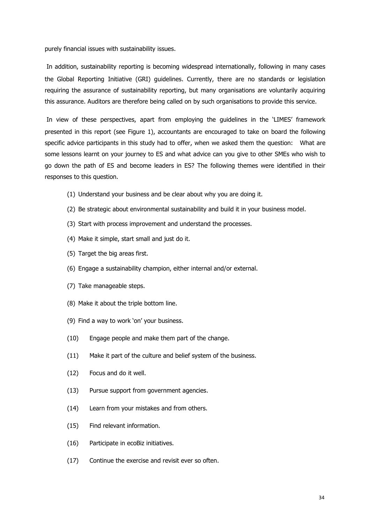purely financial issues with sustainability issues.

In addition, sustainability reporting is becoming widespread internationally, following in many cases the Global Reporting Initiative (GRI) guidelines. Currently, there are no standards or legislation requiring the assurance of sustainability reporting, but many organisations are voluntarily acquiring this assurance. Auditors are therefore being called on by such organisations to provide this service.

In view of these perspectives, apart from employing the guidelines in the 'LIMES' framework presented in this report (see Figure 1), accountants are encouraged to take on board the following specific advice participants in this study had to offer, when we asked them the question: What are some lessons learnt on your journey to ES and what advice can you give to other SMEs who wish to go down the path of ES and become leaders in ES? The following themes were identified in their responses to this question.

- (1) Understand your business and be clear about why you are doing it.
- (2) Be strategic about environmental sustainability and build it in your business model.
- (3) Start with process improvement and understand the processes.
- (4) Make it simple, start small and just do it.
- (5) Target the big areas first.
- (6) Engage a sustainability champion, either internal and/or external.
- (7) Take manageable steps.
- (8) Make it about the triple bottom line.
- (9) Find a way to work 'on' your business.
- (10) Engage people and make them part of the change.
- (11) Make it part of the culture and belief system of the business.
- (12) Focus and do it well.
- (13) Pursue support from government agencies.
- (14) Learn from your mistakes and from others.
- (15) Find relevant information.
- (16) Participate in ecoBiz initiatives.
- (17) Continue the exercise and revisit ever so often.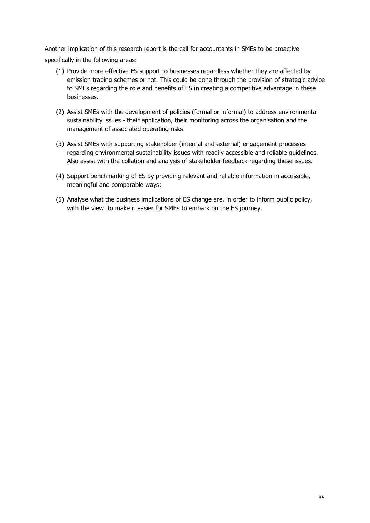Another implication of this research report is the call for accountants in SMEs to be proactive specifically in the following areas:

- (1) Provide more effective ES support to businesses regardless whether they are affected by emission trading schemes or not. This could be done through the provision of strategic advice to SMEs regarding the role and benefits of ES in creating a competitive advantage in these businesses.
- (2) Assist SMEs with the development of policies (formal or informal) to address environmental sustainability issues - their application, their monitoring across the organisation and the management of associated operating risks.
- (3) Assist SMEs with supporting stakeholder (internal and external) engagement processes regarding environmental sustainability issues with readily accessible and reliable guidelines. Also assist with the collation and analysis of stakeholder feedback regarding these issues.
- (4) Support benchmarking of ES by providing relevant and reliable information in accessible, meaningful and comparable ways;
- (5) Analyse what the business implications of ES change are, in order to inform public policy, with the view to make it easier for SMEs to embark on the ES journey.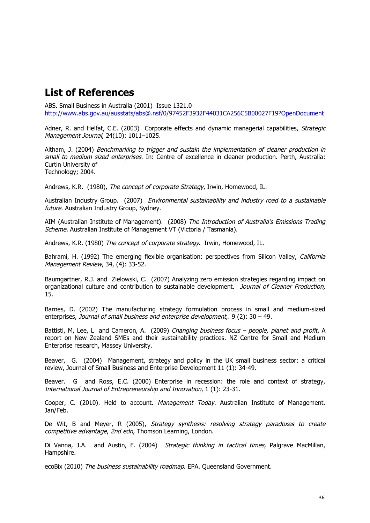## **List of References**

ABS. Small Business in Australia (2001) Issue 1321.0 http://www.abs.gov.au/ausstats/abs@.nsf/0/97452F3932F44031CA256C5B00027F19?OpenDocument

Adner, R. and Helfat, C.E. (2003) Corporate effects and dynamic managerial capabilities, Strategic Management Journal, 24(10): 1011–1025.

Altham, J. (2004) Benchmarking to trigger and sustain the implementation of cleaner production in small to medium sized enterprises. In: Centre of excellence in cleaner production. Perth, Australia: Curtin University of Technology; 2004.

Andrews, K.R. (1980), The concept of corporate Strategy, Irwin, Homewood, IL.

Australian Industry Group. (2007) Environmental sustainability and industry road to a sustainable future. Australian Industry Group, Sydney.

AIM (Australian Institute of Management). (2008) The Introduction of Australia's Emissions Trading Scheme. Australian Institute of Management VT (Victoria / Tasmania).

Andrews, K.R. (1980) The concept of corporate strategy**.** Irwin, Homewood, IL.

Bahrami, H. (1992) The emerging flexible organisation: perspectives from Silicon Valley, California Management Review, 34, (4): 33-52.

Baumgartner, R.J. and Zielowski, C. (2007) Analyzing zero emission strategies regarding impact on organizational culture and contribution to sustainable development. Journal of Cleaner Production, 15.

Barnes, D. (2002) The manufacturing strategy formulation process in small and medium-sized enterprises, Journal of small business and enterprise development,. 9 (2): 30 – 49.

Battisti, M, Lee, L and Cameron, A. (2009) Changing business focus – people, planet and profit. A report on New Zealand SMEs and their sustainability practices. NZ Centre for Small and Medium Enterprise research, Massey University.

Beaver, G. (2004) Management, strategy and policy in the UK small business sector: a critical review, Journal of Small Business and Enterprise Development 11 (1): 34-49.

Beaver. G and Ross, E.C. (2000) Enterprise in recession: the role and context of strategy, International Journal of Entrepreneurship and Innovation, 1 (1): 23-31.

Cooper, C. (2010). Held to account. Management Today. Australian Institute of Management. Jan/Feb.

De Wit, B and Meyer, R (2005), Strategy synthesis: resolving strategy paradoxes to create competitive advantage, 2nd edn, Thomson Learning, London.

Di Vanna, J.A. and Austin, F. (2004) Strategic thinking in tactical times, Palgrave MacMillan, Hampshire.

ecoBix (2010) The business sustainability roadmap. EPA. Queensland Government.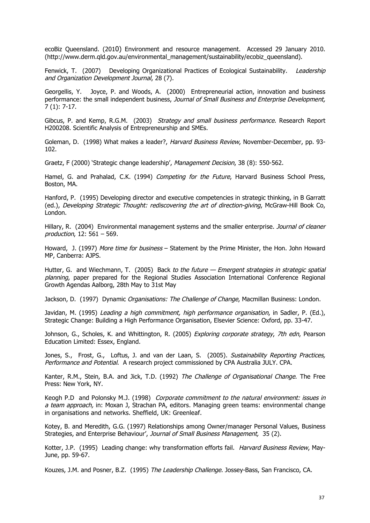ecoBiz Queensland. (2010) Environment and resource management. Accessed 29 January 2010. (http://www.derm.qld.gov.au/environmental\_management/sustainability/ecobiz\_queensland).

Fenwick, T. (2007) Developing Organizational Practices of Ecological Sustainability. Leadership and Organization Development Journal, 28 (7).

Georgellis, Y. Joyce, P. and Woods, A. (2000) Entrepreneurial action, innovation and business performance: the small independent business, Journal of Small Business and Enterprise Development, 7 (1): 7-17.

Gibcus, P. and Kemp, R.G.M. (2003) Strategy and small business performance. Research Report H200208. Scientific Analysis of Entrepreneurship and SMEs.

Goleman, D. (1998) What makes a leader?, Harvard Business Review, November-December, pp. 93-102.

Graetz, F (2000) 'Strategic change leadership', Management Decision, 38 (8): 550-562.

Hamel, G. and Prahalad, C.K. (1994) Competing for the Future, Harvard Business School Press, Boston, MA.

Hanford, P. (1995) Developing director and executive competencies in strategic thinking, in B Garratt (ed.), Developing Strategic Thought: rediscovering the art of direction-giving, McGraw-Hill Book Co, London.

Hillary, R. (2004) Environmental management systems and the smaller enterprise. Journal of cleaner production, 12: 561 – 569.

Howard, J. (1997) More time for business – Statement by the Prime Minister, the Hon. John Howard MP, Canberra: AJPS.

Hutter, G. and Wiechmann, T. (2005) Back to the future — Emergent strategies in strategic spatial planning, paper prepared for the Regional Studies Association International Conference Regional Growth Agendas Aalborg, 28th May to 31st May

Jackson, D. (1997) Dynamic Organisations: The Challenge of Change, Macmillan Business: London.

Javidan, M. (1995) Leading a high commitment, high performance organisation, in Sadler, P. (Ed.), Strategic Change: Building a High Performance Organisation, Elsevier Science: Oxford, pp. 33-47.

Johnson, G., Scholes, K. and Whittington, R. (2005) Exploring corporate strategy, 7th edn, Pearson Education Limited: Essex, England.

Jones, S., Frost, G., Loftus, J. and van der Laan, S. (2005). Sustainability Reporting Practices, Performance and Potential. A research project commissioned by CPA Australia JULY. CPA.

Kanter, R.M., Stein, B.A. and Jick, T.D. (1992) The Challenge of Organisational Change. The Free Press: New York, NY.

Keogh P.D and Polonsky M.J. (1998) Corporate commitment to the natural environment: issues in a team approach, in: Moxan J, Strachan PA, editors. Managing green teams: environmental change in organisations and networks. Sheffield, UK: Greenleaf.

Kotey, B. and Meredith, G.G. (1997) Relationships among Owner/manager Personal Values, Business Strategies, and Enterprise Behaviour', Journal of Small Business Management, 35 (2).

Kotter, J.P. (1995) Leading change: why transformation efforts fail. Harvard Business Review, May-June, pp. 59-67.

Kouzes, J.M. and Posner, B.Z. (1995) The Leadership Challenge. Jossey-Bass, San Francisco, CA.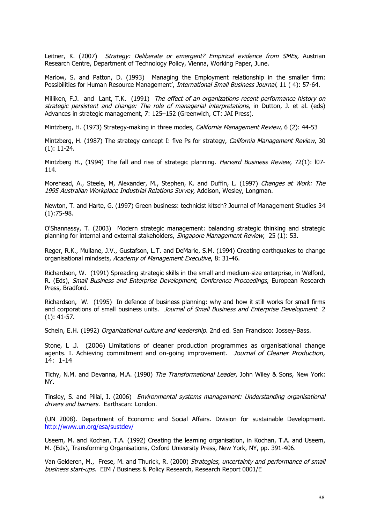Leitner, K. (2007) Strategy: Deliberate or emergent? Empirical evidence from SMEs, Austrian Research Centre, Department of Technology Policy, Vienna, Working Paper, June.

Marlow, S. and Patton, D. (1993) Managing the Employment relationship in the smaller firm: Possibilities for Human Resource Management', International Small Business Journal, 11 ( 4): 57-64.

Milliken, F.J. and Lant, T.K. (1991) The effect of an organizations recent performance history on strategic persistent and change: The role of managerial interpretations, in Dutton, J. et al. (eds) Advances in strategic management, 7: 125–152 (Greenwich, CT: JAI Press).

Mintzberg, H. (1973) Strategy-making in three modes, *California Management Review*, 6 (2): 44-53

Mintzberg, H. (1987) The strategy concept I: five Ps for strategy, *California Management Review*, 30 (1): 11-24.

Mintzberg H., (1994) The fall and rise of strategic planning. Harvard Business Review, 72(1): l07-114.

Morehead, A., Steele, M, Alexander, M., Stephen, K. and Duffin, L. (1997) Changes at Work: The 1995 Australian Workplace Industrial Relations Survey, Addison, Wesley, Longman.

Newton, T. and Harte, G. (1997) Green business: technicist kitsch? Journal of Management Studies 34 (1):75-98.

O'Shannassy, T. (2003) Modern strategic management: balancing strategic thinking and strategic planning for internal and external stakeholders, Singapore Management Review, 25 (1): 53.

Reger, R.K., Mullane, J.V., Gustafson, L.T. and DeMarie, S.M. (1994) Creating earthquakes to change organisational mindsets, Academy of Management Executive, 8: 31-46.

Richardson, W. (1991) Spreading strategic skills in the small and medium-size enterprise, in Welford, R. (Eds), Small Business and Enterprise Development, Conference Proceedings, European Research Press, Bradford.

Richardson, W. (1995) In defence of business planning: why and how it still works for small firms and corporations of small business units. Journal of Small Business and Enterprise Development 2 (1): 41-57.

Schein, E.H. (1992) Organizational culture and leadership. 2nd ed. San Francisco: Jossey-Bass.

Stone, L .J. (2006) Limitations of cleaner production programmes as organisational change agents. I. Achieving commitment and on-going improvement. Journal of Cleaner Production, 14: 1-14

Tichy, N.M. and Devanna, M.A. (1990) The Transformational Leader, John Wiley & Sons, New York: NY.

Tinsley, S. and Pillai, I. (2006) Environmental systems management: Understanding organisational drivers and barriers. Earthscan: London.

(UN 2008). Department of Economic and Social Affairs. Division for sustainable Development. http://www.un.org/esa/sustdev/

Useem, M. and Kochan, T.A. (1992) Creating the learning organisation, in Kochan, T.A. and Useem, M. (Eds), Transforming Organisations, Oxford University Press, New York, NY, pp. 391-406.

Van Gelderen, M., Frese, M. and Thurick, R. (2000) Strategies, uncertainty and performance of small business start-ups. EIM / Business & Policy Research, Research Report 0001/E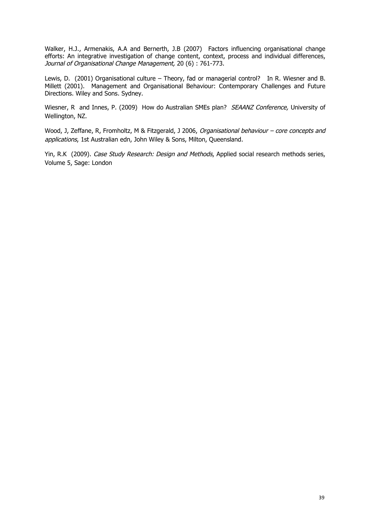Walker, H.J., Armenakis, A.A and Bernerth, J.B (2007) Factors influencing organisational change efforts: An integrative investigation of change content, context, process and individual differences, Journal of Organisational Change Management, 20 (6) : 761-773.

Lewis, D. (2001) Organisational culture – Theory, fad or managerial control? In R. Wiesner and B. Millett (2001). Management and Organisational Behaviour: Contemporary Challenges and Future Directions. Wiley and Sons. Sydney.

Wiesner, R and Innes, P. (2009) How do Australian SMEs plan? SEAANZ Conference, University of Wellington, NZ.

Wood, J, Zeffane, R, Fromholtz, M & Fitzgerald, J 2006, Organisational behaviour - core concepts and applications, 1st Australian edn, John Wiley & Sons, Milton, Queensland.

Yin, R.K (2009). Case Study Research: Design and Methods, Applied social research methods series, Volume 5, Sage: London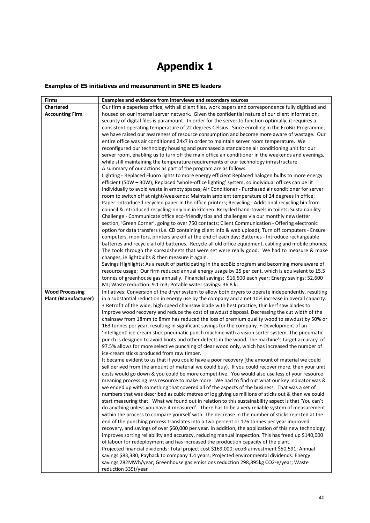# **Appendix 1**

#### **Examples of ES initiatives and measurement in SME ES leaders**

| <b>Firms</b>                | Examples and evidence from interviews and secondary sources                                                                                                                                       |
|-----------------------------|---------------------------------------------------------------------------------------------------------------------------------------------------------------------------------------------------|
| <b>Chartered</b>            | Our firm a paperless office, with all client files, work papers and correspondence fully digitised and                                                                                            |
| <b>Accounting Firm</b>      | housed on our internal server network. Given the confidential nature of our client information,                                                                                                   |
|                             | security of digital files is paramount. In order for the server to function optimally, it requires a                                                                                              |
|                             | consistent operating temperature of 22 degrees Celsius. Since enrolling in the EcoBiz Programme,                                                                                                  |
|                             | we have raised our awareness of resource consumption and become more aware of wastage. Our                                                                                                        |
|                             | entire office was air conditioned 24x7 in order to maintain server room temperature. We                                                                                                           |
|                             | reconfigured our technology housing and purchased a standalone air conditioning unit for our                                                                                                      |
|                             | server room, enabling us to turn off the main office air conditioner in the weekends and evenings,                                                                                                |
|                             | while still maintaining the temperature requirements of our technology infrastructure.                                                                                                            |
|                             | A summary of our actions as part of the program are as follows:                                                                                                                                   |
|                             | Lighting - Replaced Fluoro lights to more energy efficient Replaced halogen bulbs to more energy                                                                                                  |
|                             | efficient (50W - 30W); Replaced 'whole-office lighting' system, so individual offices can be lit                                                                                                  |
|                             | individually to avoid waste in empty spaces; Air Conditioner - Purchased air conditioner for server                                                                                               |
|                             | room to switch off at night/weekends: Maintain ambient temperature of 24 degrees in office;                                                                                                       |
|                             | Paper-Introduced recycled paper in the office printers; Recycling - Additional recycling bin from                                                                                                 |
|                             | council & introduced recycling-only bin in kitchen. Recycled hand-towels in toilets; Sustainability<br>Challenge - Communicate office eco-friendly tips and challenges via our monthly newsletter |
|                             | section, 'Green Corner', going to over 750 contacts; Client Communication - Offering electronic                                                                                                   |
|                             | option for data transfers (i.e. CD containing client info & web upload); Turn off computers - Ensure                                                                                              |
|                             | computers, monitors, printers are off at the end of each day; Batteries - Introduce rechargeable                                                                                                  |
|                             | batteries and recycle all old batteries. Recycle all old office equipment, cabling and mobile phones;                                                                                             |
|                             | The tools through the spreadsheets that were set were really good. We had to measure & make                                                                                                       |
|                             | changes, ie lightbulbs & then measure it again.                                                                                                                                                   |
|                             | Savings Highlights: As a result of participating in the ecoBiz program and becoming more aware of                                                                                                 |
|                             | resource usage; Our firm reduced annual energy usage by 25 per cent, which is equivalent to 15.5                                                                                                  |
|                             | tonnes of greenhouse gas annually. Financial savings: \$16,500 each year; Energy savings: 52,600                                                                                                  |
|                             | MJ; Waste reduction: 9.1 m3; Potable water savings: 36.8 kL                                                                                                                                       |
| <b>Wood Processing</b>      | Initiatives: Conversion of the dryer system to allow both dryers to operate independently, resulting                                                                                              |
| <b>Plant (Manufacturer)</b> | in a substantial reduction in energy use by the company and a net 10% increase in overall capacity.                                                                                               |
|                             | . Retrofit of the wide, high speed chainsaw blade with best practice, thin kerf saw blades to                                                                                                     |
|                             | improve wood recovery and reduce the cost of sawdust disposal. Decreasing the cut width of the                                                                                                    |
|                             | chainsaw from 18mm to 8mm has reduced the loss of premium quality wood to sawdust by 50% or                                                                                                       |
|                             | 163 tonnes per year, resulting in significant savings for the company. • Development of an<br>'intelligent' ice-cream stick pneumatic punch machine with a vision sorter system. The pneumatic    |
|                             | punch is designed to avoid knots and other defects in the wood. The machine's target accuracy of                                                                                                  |
|                             | 97.5% allows for more selective punching of clear wood only, which has increased the number of                                                                                                    |
|                             | ice-cream sticks produced from raw timber.                                                                                                                                                        |
|                             | It became evident to us that if you could have a poor recovery (the amount of material we could                                                                                                   |
|                             | sell derived from the amount of material we could buy). If you could recover more, then your unit                                                                                                 |
|                             | costs would go down & you could be more competitive. You would also use less of your resource                                                                                                     |
|                             | meaning processing less resource to make more. We had to find out what our key indicator was &                                                                                                    |
|                             | we ended up with something that covered all of the aspects of the business. That was a set of                                                                                                     |
|                             | numbers that was described as cubic metres of log giving us millions of sticks out & then we could                                                                                                |
|                             | start measuring that. What we found out in relation to this sustainability aspect is that 'You can't                                                                                              |
|                             | do anything unless you have it measured'. There has to be a very reliable system of measurement                                                                                                   |
|                             | within the process to compare yourself with. The decrease in the number of sticks rejected at the                                                                                                 |
|                             | end of the punching process translates into a two percent or 176 tonnes per year improved                                                                                                         |
|                             | recovery, and savings of over \$60,000 per year. In addition, the application of this new technology                                                                                              |
|                             | improves sorting reliability and accuracy, reducing manual inspection. This has freed up \$140,000<br>of labour for redeployment and has increased the production capacity of the plant.          |
|                             | Projected financial dividends: Total project cost \$169,000; ecoBiz investment \$50,591; Annual                                                                                                   |
|                             | savings \$83,380; Payback to company 1.4 years; Projected environmental dividends: Energy                                                                                                         |
|                             | savings 282MWh/year; Greenhouse gas emissions reduction 298,895kg CO2-e/year; Waste                                                                                                               |
|                             | reduction 339t/year                                                                                                                                                                               |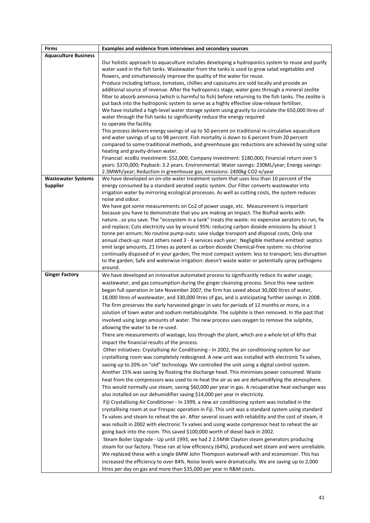| <b>Firms</b>                | Examples and evidence from interviews and secondary sources                                                                         |
|-----------------------------|-------------------------------------------------------------------------------------------------------------------------------------|
| <b>Aquaculture Business</b> |                                                                                                                                     |
|                             | Our holistic approach to aquaculture includes developing a hydroponics system to reuse and purify                                   |
|                             | water used in the fish tanks. Wastewater from the tanks is used to grow salad vegetables and                                        |
|                             | flowers, and simultaneously improve the quality of the water for reuse.                                                             |
|                             | Produce including lettuce, tomatoes, chillies and capsicums are sold locally and provide an                                         |
|                             | additional source of revenue. After the hydroponics stage, water goes through a mineral zeolite                                     |
|                             | filter to absorb ammonia (which is harmful to fish) before returning to the fish tanks. The zeolite is                              |
|                             | put back into the hydroponic system to serve as a highly effective slow-release fertiliser.                                         |
|                             | We have installed a high-level water storage system using gravity to circulate the 650,000 litres of                                |
|                             | water through the fish tanks to significantly reduce the energy required                                                            |
|                             | to operate the facility.                                                                                                            |
|                             | This process delivers energy savings of up to 50 percent on traditional re-circulative aquaculture                                  |
|                             | and water savings of up to 98 percent. Fish mortality is down to 6 percent from 20 percent                                          |
|                             | compared to some traditional methods, and greenhouse gas reductions are achieved by using solar                                     |
|                             | heating and gravity-driven water.<br>Financial: ecoBiz investment: \$52,000; Company investment: \$180,000; Financial return over 5 |
|                             | years: \$370,000; Payback: 3.2 years. Environmental: Water savings: 230ML/year; Energy savings:                                     |
|                             | 2.3MWh/year; Reduction in greenhouse gas; emissions: 2400kg CO2-e/year                                                              |
| <b>Wastewater Systems</b>   | We have developed an on-site water treatment system that uses less than 10 percent of the                                           |
| <b>Supplier</b>             | energy consumed by a standard aerated septic system. Our Filter converts wastewater into                                            |
|                             | irrigation water by mirroring ecological processes. As well as cutting costs, the system reduces                                    |
|                             | noise and odour.                                                                                                                    |
|                             | We have got some measurements on Co2 of power usage, etc. Measurement is important                                                  |
|                             | because you have to demonstrate that you are making an impact. The BioPod works with                                                |
|                             | natureso you save. The "ecosystem in a tank" treats the waste: no expensive aerators to run, fix                                    |
|                             | and replace; Cuts electricity use by around 95%: reducing carbon dioxide emissions by about 1                                       |
|                             | tonne per annum; No routine pump-outs: save sludge transport and disposal costs; Only one                                           |
|                             | annual check-up: most others need 3 - 4 services each year; Negligible methane emitted: septics                                     |
|                             | emit large amounts, 21 times as potent as carbon dioxide Chemical-free system: no chlorine                                          |
|                             | continually disposed of in your garden; The most compact system: less to transport; less disruption                                 |
|                             | to the garden; Safe and waterwise irrigation: doesn't waste water or potentially spray pathogens                                    |
|                             | around.                                                                                                                             |
| <b>Ginger Factory</b>       | We have developed an innovative automated process to significantly reduce its water usage,                                          |
|                             | wastewater, and gas consumption during the ginger cleansing process. Since this new system                                          |
|                             | began full operation in late November 2007, the firm has saved about 30,000 litres of water,                                        |
|                             | 18,000 litres of wastewater, and 330,000 litres of gas, and is anticipating further savings in 2008.                                |
|                             | The firm preserves the early harvested ginger in vats for periods of 12 months or more, in a                                        |
|                             | solution of town water and sodium metabisulphite. The sulphite is then removed. In the past that                                    |
|                             | involved using large amounts of water. The new process uses oxygen to remove the sulphite,                                          |
|                             | allowing the water to be re-used.                                                                                                   |
|                             | There are measurements of wastage, loss through the plant, which are a whole lot of KPIs that                                       |
|                             | impact the financial results of the process.                                                                                        |
|                             | Other initiatives: Crystallising Air Conditioning - In 2002, the air conditioning system for our                                    |
|                             | crystallising room was completely redesigned. A new unit was installed with electronic Tx valves,                                   |
|                             | saving up to 20% on "old" technology. We controlled the unit using a digital control system.                                        |
|                             | Another 15% was saving by floating the discharge head. This minimises power consumed. Waste                                         |
|                             | heat from the compressors was used to re-heat the air as we are dehumidifying the atmosphere.                                       |
|                             | This would normally use steam, saving \$60,000 per year in gas. A recuperative heat exchanger was                                   |
|                             | also installed on our dehumidifier saving \$14,000 per year in electricity.                                                         |
|                             | Fiji Crystallising Air Conditioner - In 1999, a new air conditioning system was installed in the                                    |
|                             | crystallising room at our Frespac operation in Fiji. This unit was a standard system using standard                                 |
|                             | Tx valves and steam to reheat the air. After several issues with reliability and the cost of steam, it                              |
|                             | was rebuilt in 2002 with electronic Tx valves and using waste compressor heat to reheat the air                                     |
|                             | going back into the room. This saved \$100,000 worth of diesel back in 2002.                                                        |
|                             | Steam Boiler Upgrade - Up until 1993, we had 2 2.5MW Clayton steam generators producing                                             |
|                             | steam for our factory. These ran at low efficiency (64%), produced wet steam and were unreliable.                                   |
|                             | We replaced these with a single 6MW John Thompson waterwall with and economiser. This has                                           |
|                             | increased the efficiency to over 84%. Noise levels were dramatically. We are saving up to 2,000                                     |
|                             | litres per day on gas and more than \$35,000 per year in R&M costs.                                                                 |
|                             |                                                                                                                                     |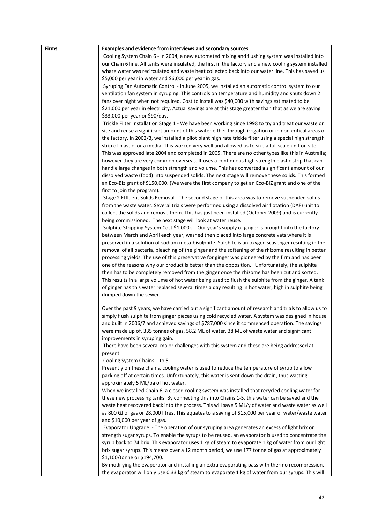| <b>Firms</b> | Examples and evidence from interviews and secondary sources                                               |
|--------------|-----------------------------------------------------------------------------------------------------------|
|              | Cooling System Chain 6 - In 2004, a new automated mixing and flushing system was installed into           |
|              | our Chain 6 line. All tanks were insulated, the first in the factory and a new cooling system installed   |
|              | whare water was recirculated and waste heat collected back into our water line. This has saved us         |
|              | \$5,000 per year in water and \$6,000 per year in gas.                                                    |
|              | Syruping Fan Automatic Control - In June 2005, we installed an automatic control system to our            |
|              | ventilation fan system in syruping. This controls on temperature and humidity and shuts down 2            |
|              | fans over night when not required. Cost to install was \$40,000 with savings estimated to be              |
|              | \$21,000 per year in electricity. Actual savings are at this stage greater than that as we are saving     |
|              | \$33,000 per year or \$90/day.                                                                            |
|              | Trickle Filter Installation Stage 1 - We have been working since 1998 to try and treat our waste on       |
|              | site and reuse a significant amount of this water either through irrigation or in non-critical areas of   |
|              | the factory. In 2002/3, we installed a pilot plant high rate trickle filter using a special high strength |
|              | strip of plastic for a media. This worked very well and allowed us to size a full scale unit on site.     |
|              | This was approved late 2004 and completed in 2005. There are no other types like this in Australia;       |
|              | however they are very common overseas. It uses a continuous high strength plastic strip that can          |
|              | handle large changes in both strength and volume. This has converted a significant amount of our          |
|              | dissolved waste (food) into suspended solids. The next stage will remove these solids. This formed        |
|              | an Eco-Biz grant of \$150,000. (We were the first company to get an Eco-BIZ grant and one of the          |
|              | first to join the program).                                                                               |
|              | Stage 2 Effluent Solids Removal - The second stage of this area was to remove suspended solids            |
|              | from the waste water. Several trials were performed using a dissolved air flotation (DAF) unit to         |
|              | collect the solids and remove them. This has just been installed (October 2009) and is currently          |
|              | being commissioned. The next stage will look at water reuse.                                              |
|              | Sulphite Stripping System Cost \$1,000k - Our year's supply of ginger is brought into the factory         |
|              | between March and April each year, washed then placed into large concrete vats where it is                |
|              | preserved in a solution of sodium meta-bisulphite. Sulphite is an oxygen scavenger resulting in the       |
|              | removal of all bacteria, bleaching of the ginger and the softening of the rhizome resulting in better     |
|              | processing yields. The use of this preservative for ginger was pioneered by the firm and has been         |
|              | one of the reasons why our product is better than the opposition. Unfortunately, the sulphite             |
|              | then has to be completely removed from the ginger once the rhizome has been cut and sorted.               |
|              | This results in a large volume of hot water being used to flush the sulphite from the ginger. A tank      |
|              | of ginger has this water replaced several times a day resulting in hot water, high in sulphite being      |
|              | dumped down the sewer.                                                                                    |
|              |                                                                                                           |
|              | Over the past 9 years, we have carried out a significant amount of research and trials to allow us to     |
|              | simply flush sulphite from ginger pieces using cold recycled water. A system was designed in house        |
|              | and built in 2006/7 and achieved savings of \$787,000 since it commenced operation. The savings           |
|              | were made up of, 335 tonnes of gas, 58.2 ML of water, 38 ML of waste water and significant                |
|              | improvements in syruping gain.                                                                            |
|              | There have been several major challenges with this system and these are being addressed at<br>present.    |
|              | Cooling System Chains 1 to 5 -                                                                            |
|              | Presently on these chains, cooling water is used to reduce the temperature of syrup to allow              |
|              | packing off at certain times. Unfortunately, this water is sent down the drain, thus wasting              |
|              | approximately 5 ML/pa of hot water.                                                                       |
|              | When we installed Chain 6, a closed cooling system was installed that recycled cooling water for          |
|              | these new processing tanks. By connecting this into Chains 1-5, this water can be saved and the           |
|              | waste heat recovered back into the process. This will save 5 ML/y of water and waste water as well        |
|              | as 800 GJ of gas or 28,000 litres. This equates to a saving of \$15,000 per year of water/waste water     |
|              | and \$10,000 per year of gas.                                                                             |
|              | Evaporator Upgrade - The operation of our syruping area generates an excess of light brix or              |
|              | strength sugar syrups. To enable the syrups to be reused, an evaporator is used to concentrate the        |
|              | syrup back to 74 brix. This evaporator uses 1 kg of steam to evaporate 1 kg of water from our light       |
|              | brix sugar syrups. This means over a 12 month period, we use 177 tonne of gas at approximately            |
|              | \$1,100/tonne or \$194,700.                                                                               |
|              | By modifying the evaporator and installing an extra evaporating pass with thermo recompression,           |
|              | the evaporator will only use 0.33 kg of steam to evaporate 1 kg of water from our syrups. This will       |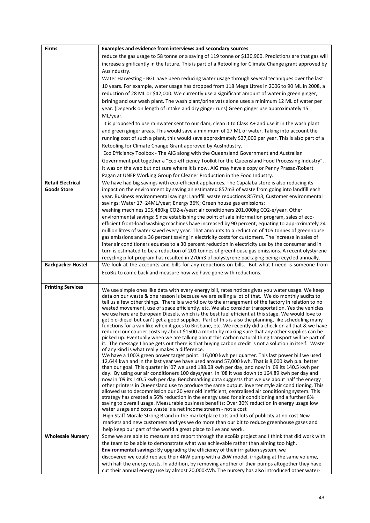| <b>Firms</b>                                   | Examples and evidence from interviews and secondary sources                                                                                                                                                                                                                                                                                                                                                                                                                                                                                                                                                                                                                                                                                                                                                                                                                                                                                                                                                                                                                                                                                                                                                                                                                                                                                                                                                                                                                                                                                                                                                                                                                                                                                                                                                                                                                                                                                                                                                                                                                                                                                                                                                                                                                                                                                                          |
|------------------------------------------------|----------------------------------------------------------------------------------------------------------------------------------------------------------------------------------------------------------------------------------------------------------------------------------------------------------------------------------------------------------------------------------------------------------------------------------------------------------------------------------------------------------------------------------------------------------------------------------------------------------------------------------------------------------------------------------------------------------------------------------------------------------------------------------------------------------------------------------------------------------------------------------------------------------------------------------------------------------------------------------------------------------------------------------------------------------------------------------------------------------------------------------------------------------------------------------------------------------------------------------------------------------------------------------------------------------------------------------------------------------------------------------------------------------------------------------------------------------------------------------------------------------------------------------------------------------------------------------------------------------------------------------------------------------------------------------------------------------------------------------------------------------------------------------------------------------------------------------------------------------------------------------------------------------------------------------------------------------------------------------------------------------------------------------------------------------------------------------------------------------------------------------------------------------------------------------------------------------------------------------------------------------------------------------------------------------------------------------------------------------------------|
|                                                | reduce the gas usage to 58 tonne or a saving of 119 tonne or \$130,900. Predictions are that gas will<br>increase significantly in the future. This is part of a Retooling for Climate Change grant approved by<br>AusIndustry.                                                                                                                                                                                                                                                                                                                                                                                                                                                                                                                                                                                                                                                                                                                                                                                                                                                                                                                                                                                                                                                                                                                                                                                                                                                                                                                                                                                                                                                                                                                                                                                                                                                                                                                                                                                                                                                                                                                                                                                                                                                                                                                                      |
|                                                | Water Harvesting - BGL have been reducing water usage through several techniques over the last<br>10 years. For example, water usage has dropped from 118 Mega Litres in 2006 to 90 ML in 2008, a<br>reduction of 28 ML or \$42,000. We currently use a significant amount of water in green ginger,                                                                                                                                                                                                                                                                                                                                                                                                                                                                                                                                                                                                                                                                                                                                                                                                                                                                                                                                                                                                                                                                                                                                                                                                                                                                                                                                                                                                                                                                                                                                                                                                                                                                                                                                                                                                                                                                                                                                                                                                                                                                 |
|                                                | brining and our wash plant. The wash plant/brine vats alone uses a minimum 12 ML of water per<br>year. (Depends on length of intake and dry ginger runs) Green ginger use approximately 15<br>ML/year.                                                                                                                                                                                                                                                                                                                                                                                                                                                                                                                                                                                                                                                                                                                                                                                                                                                                                                                                                                                                                                                                                                                                                                                                                                                                                                                                                                                                                                                                                                                                                                                                                                                                                                                                                                                                                                                                                                                                                                                                                                                                                                                                                               |
|                                                | It is proposed to use rainwater sent to our dam, clean it to Class A+ and use it in the wash plant<br>and green ginger areas. This would save a minimum of 27 ML of water. Taking into account the<br>running cost of such a plant, this would save approximately \$27,000 per year. This is also part of a                                                                                                                                                                                                                                                                                                                                                                                                                                                                                                                                                                                                                                                                                                                                                                                                                                                                                                                                                                                                                                                                                                                                                                                                                                                                                                                                                                                                                                                                                                                                                                                                                                                                                                                                                                                                                                                                                                                                                                                                                                                          |
|                                                | Retooling for Climate Change Grant approved by AusIndustry.<br>Eco Efficiency Toolbox - The AIG along with the Queensland Government and Australian<br>Government put together a "Eco-efficiency Toolkit for the Queensland Food Processing Industry".                                                                                                                                                                                                                                                                                                                                                                                                                                                                                                                                                                                                                                                                                                                                                                                                                                                                                                                                                                                                                                                                                                                                                                                                                                                                                                                                                                                                                                                                                                                                                                                                                                                                                                                                                                                                                                                                                                                                                                                                                                                                                                               |
|                                                | It was on the web but not sure where it is now. AIG may have a copy or Penny Prasad/Robert<br>Pagan at UNEP Working Group for Cleaner Production in the Food Industry.                                                                                                                                                                                                                                                                                                                                                                                                                                                                                                                                                                                                                                                                                                                                                                                                                                                                                                                                                                                                                                                                                                                                                                                                                                                                                                                                                                                                                                                                                                                                                                                                                                                                                                                                                                                                                                                                                                                                                                                                                                                                                                                                                                                               |
| <b>Retail Electrical</b><br><b>Goods Store</b> | We have had big savings with eco-efficient appliances. The Capalaba store is also reducing its<br>impact on the environment by saving an estimated 857m3 of waste from going into landfill each<br>year. Business environmental savings: Landfill waste reductions 857m3; Customer environmental<br>savings: Water 17-24ML/year; Energy 36%; Green house gas emissions:<br>washing machines 105,480kg CO2-e/year; air conditioners 201,000kg CO2-e/year. Other                                                                                                                                                                                                                                                                                                                                                                                                                                                                                                                                                                                                                                                                                                                                                                                                                                                                                                                                                                                                                                                                                                                                                                                                                                                                                                                                                                                                                                                                                                                                                                                                                                                                                                                                                                                                                                                                                                       |
|                                                | environmental savings: Since establishing the point of sale information program, sales of eco-<br>efficient front-load washing machines have increased by 90 percent, equating to approximately 24<br>million litres of water saved every year. That amounts to a reduction of 105 tonnes of greenhouse<br>gas emissions and a 36 percent saving in electricity costs for customers. The increase in sales of<br>inter air conditioners equates to a 30 percent reduction in electricity use by the consumer and in                                                                                                                                                                                                                                                                                                                                                                                                                                                                                                                                                                                                                                                                                                                                                                                                                                                                                                                                                                                                                                                                                                                                                                                                                                                                                                                                                                                                                                                                                                                                                                                                                                                                                                                                                                                                                                                  |
|                                                | turn is estimated to be a reduction of 201 tonnes of greenhouse gas emissions. A recent olystyrene<br>recycling pilot program has resulted in 270m3 of polystyrene packaging being recycled annually.                                                                                                                                                                                                                                                                                                                                                                                                                                                                                                                                                                                                                                                                                                                                                                                                                                                                                                                                                                                                                                                                                                                                                                                                                                                                                                                                                                                                                                                                                                                                                                                                                                                                                                                                                                                                                                                                                                                                                                                                                                                                                                                                                                |
| <b>Backpacker Hostel</b>                       | We look at the accounts and bills for any reductions on bills. But what I need is someone from<br>EcoBiz to come back and measure how we have gone with reductions.                                                                                                                                                                                                                                                                                                                                                                                                                                                                                                                                                                                                                                                                                                                                                                                                                                                                                                                                                                                                                                                                                                                                                                                                                                                                                                                                                                                                                                                                                                                                                                                                                                                                                                                                                                                                                                                                                                                                                                                                                                                                                                                                                                                                  |
| <b>Printing Services</b>                       | We use simple ones like data with every energy bill, rates notices gives you water usage. We keep<br>data on our waste & one reason is because we are selling a lot of that. We do monthly audits to<br>tell us a few other things. There is a workflow to the arrangement of the factory in relation to no<br>wasted movement, use of space efficiently, etc. We also consider transportation. Yes the vehicles<br>we use here are European Diesels, which is the best fuel efficient at this stage. We would love to<br>get bio-diesel but can't get a good supplier. Part of this is also the planning, like scheduling many<br>functions for a van like when it goes to Brisbane, etc. We recently did a check on all that & we have<br>reduced our courier costs by about \$1500 a month by making sure that any other supplies can be<br>picked up. Eventually when we are talking about this carbon natural thing transport will be part of<br>it. The message I hope gets out there is that buying carbon credit is not a solution in itself. Waste<br>of any kind is what really makes a difference.<br>We have a 100% green power target point: 16,000 kwh per quarter. This last power bill we used<br>12,644 kwh and in the last year we have used around 57,000 kwh. That is 8,000 kwh p.a. better<br>than our goal. This quarter in '07 we used 188.08 kwh per day, and now in '09 its 140.5 kwh per<br>day. By using our air conditioners 100 days/year. In '08 it was down to 164.89 kwh per day and<br>now in '09 its 140.5 kwh per day. Benchmarking data suggests that we use about half the energy<br>other printers in Queensland use to produce the same output. inverter style air conditioning. This<br>allowed us to decommission our 20 year old inefficient, centralised air conditioning system. This<br>strategy has created a 56% reduction in the energy used for air conditioning and a further 8%<br>saving to overall usage. Measurable business benefits: Over 30% reduction in energy usage low<br>water usage and costs waste is a net income stream - not a cost<br>High Staff Morale Strong Brand in the marketplace Lots and lots of publicity at no cost New<br>markets and new customers and yes we do more than our bit to reduce greenhouse gases and<br>help keep our part of the world a great place to live and work. |
| <b>Wholesale Nursery</b>                       | Some we are able to measure and report through the ecoBiz project and I think that did work with<br>the team to be able to demonstrate what was achievable rather than aiming too high.<br>Environmental savings: By upgrading the efficiency of their irrigation system, we<br>discovered we could replace their 4kW pump with a 2kW model, irrigating at the same volume,                                                                                                                                                                                                                                                                                                                                                                                                                                                                                                                                                                                                                                                                                                                                                                                                                                                                                                                                                                                                                                                                                                                                                                                                                                                                                                                                                                                                                                                                                                                                                                                                                                                                                                                                                                                                                                                                                                                                                                                          |
|                                                | with half the energy costs. In addition, by removing another of their pumps altogether they have<br>cut their annual energy use by almost 20,000kWh. The nursery has also introduced other water-                                                                                                                                                                                                                                                                                                                                                                                                                                                                                                                                                                                                                                                                                                                                                                                                                                                                                                                                                                                                                                                                                                                                                                                                                                                                                                                                                                                                                                                                                                                                                                                                                                                                                                                                                                                                                                                                                                                                                                                                                                                                                                                                                                    |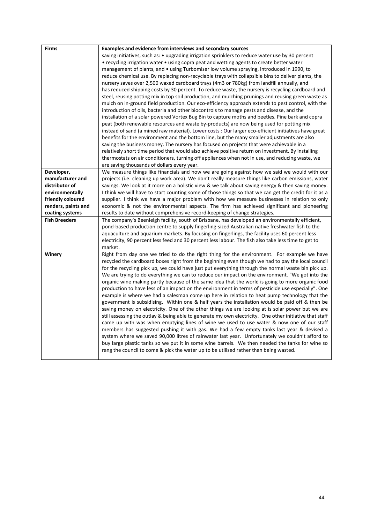| <b>Firms</b>         | <b>Examples and evidence from interviews and secondary sources</b>                                      |
|----------------------|---------------------------------------------------------------------------------------------------------|
|                      | saving initiatives, such as: • upgrading irrigation sprinklers to reduce water use by 30 percent        |
|                      | • recycling irrigation water • using copra peat and wetting agents to create better water               |
|                      | management of plants, and • using Turbomiser low volume spraying, introduced in 1990, to                |
|                      | reduce chemical use. By replacing non-recyclable trays with collapsible bins to deliver plants, the     |
|                      | nursery saves over 2,500 waxed cardboard trays (4m3 or 780kg) from landfill annually, and               |
|                      | has reduced shipping costs by 30 percent. To reduce waste, the nursery is recycling cardboard and       |
|                      | steel, reusing potting mix in top soil production, and mulching prunings and reusing green waste as     |
|                      | mulch on in-ground field production. Our eco-efficiency approach extends to pest control, with the      |
|                      | introduction of oils, bacteria and other biocontrols to manage pests and disease, and the               |
|                      | installation of a solar powered Vortex Bug Bin to capture moths and beetles. Pine bark and copra        |
|                      | peat (both renewable resources and waste by-products) are now being used for potting mix                |
|                      | instead of sand (a mined raw material). Lower costs : Our larger eco-efficient initiatives have great   |
|                      | benefits for the environment and the bottom line, but the many smaller adjustments are also             |
|                      | saving the business money. The nursery has focused on projects that were achievable in a                |
|                      | relatively short time period that would also achieve positive return on investment. By installing       |
|                      | thermostats on air conditioners, turning off appliances when not in use, and reducing waste, we         |
|                      | are saving thousands of dollars every year.                                                             |
| Developer,           | We measure things like financials and how we are going against how we said we would with our            |
| manufacturer and     | projects (i.e. cleaning up work area). We don't really measure things like carbon emissions, water      |
| distributor of       | savings. We look at it more on a holistic view & we talk about saving energy & then saving money.       |
| environmentally      | I think we will have to start counting some of those things so that we can get the credit for it as a   |
| friendly coloured    | supplier. I think we have a major problem with how we measure businesses in relation to only            |
| renders, paints and  | economic & not the environmental aspects. The firm has achieved significant and pioneering              |
| coating systems      | results to date without comprehensive record-keeping of change strategies.                              |
| <b>Fish Breeders</b> | The company's Beenleigh facility, south of Brisbane, has developed an environmentally efficient,        |
|                      | pond-based production centre to supply fingerling-sized Australian native freshwater fish to the        |
|                      | aquaculture and aquarium markets. By focusing on fingerlings, the facility uses 60 percent less         |
|                      | electricity, 90 percent less feed and 30 percent less labour. The fish also take less time to get to    |
|                      | market.                                                                                                 |
| Winery               | Right from day one we tried to do the right thing for the environment. For example we have              |
|                      | recycled the cardboard boxes right from the beginning even though we had to pay the local council       |
|                      | for the recycling pick up, we could have just put everything through the normal waste bin pick up.      |
|                      | We are trying to do everything we can to reduce our impact on the environment. "We got into the         |
|                      | organic wine making partly because of the same idea that the world is going to more organic food        |
|                      | production to have less of an impact on the environment in terms of pesticide use especially". One      |
|                      | example is where we had a salesman come up here in relation to heat pump technology that the            |
|                      | government is subsidising. Within one & half years the installation would be paid off & then be         |
|                      | saving money on electricity. One of the other things we are looking at is solar power but we are        |
|                      | still assessing the outlay & being able to generate my own electricity. One other initiative that staff |
|                      | came up with was when emptying lines of wine we used to use water & now one of our staff                |
|                      | members has suggested pushing it with gas. We had a few empty tanks last year & devised a               |
|                      | system where we saved 90,000 litres of rainwater last year. Unfortunately we couldn't afford to         |
|                      | buy large plastic tanks so we put it in some wine barrels. We then needed the tanks for wine so         |
|                      | rang the council to come & pick the water up to be utilised rather than being wasted.                   |
|                      |                                                                                                         |